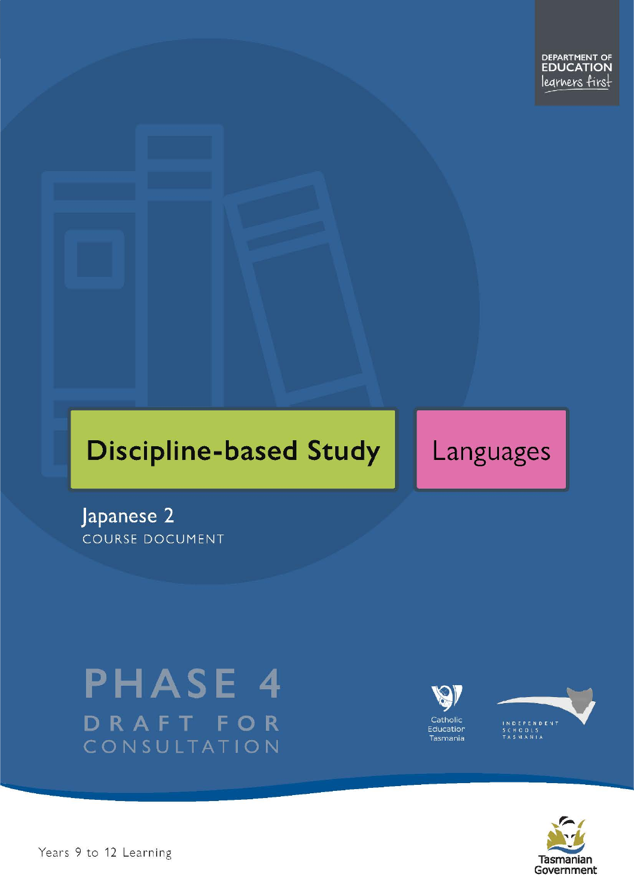# **Discipline-based Study**

# Languages

Japanese<sub>2</sub> **COURSE DOCUMENT** 

# **PHASE 4** DRAFT FOR CONSULTATION





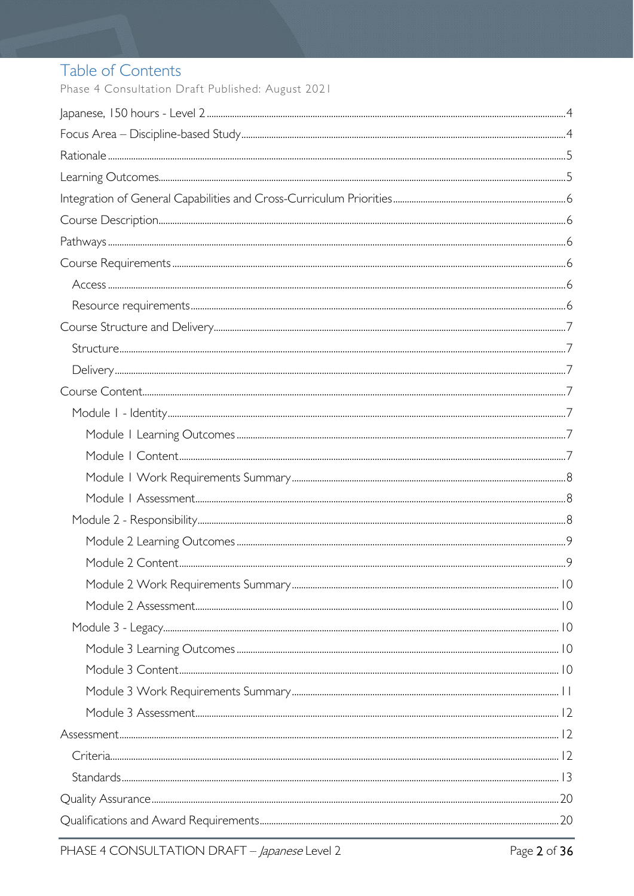# Table of Contents

Phase 4 Consultation Draft Published: August 2021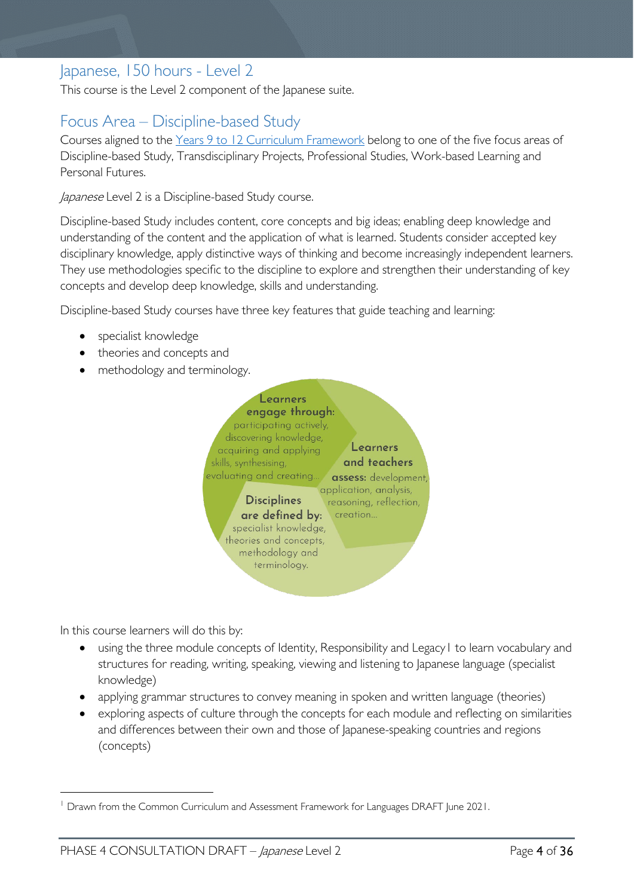# <span id="page-3-0"></span>Japanese, 150 hours - Level 2

This course is the Level 2 component of the Japanese suite.

# <span id="page-3-1"></span>Focus Area – Discipline-based Study

Courses aligned to the [Years 9 to 12 Curriculum Framework](https://publicdocumentcentre.education.tas.gov.au/library/Shared%20Documents/Education%209-12%20Frameworks%20A3%20WEB%20POSTER.pdf) belong to one of the five focus areas of Discipline-based Study, Transdisciplinary Projects, Professional Studies, Work-based Learning and Personal Futures.

Japanese Level 2 is a Discipline-based Study course.

Discipline-based Study includes content, core concepts and big ideas; enabling deep knowledge and understanding of the content and the application of what is learned. Students consider accepted key disciplinary knowledge, apply distinctive ways of thinking and become increasingly independent learners. They use methodologies specific to the discipline to explore and strengthen their understanding of key concepts and develop deep knowledge, skills and understanding.

Discipline-based Study courses have three key features that guide teaching and learning:

- specialist knowledge
- theories and concepts and
- methodology and terminology.



In this course learners will do this by:

- using the three module concepts of Identity, Responsibility and Legacy[1](#page-3-2) to learn vocabulary and structures for reading, writing, speaking, viewing and listening to Japanese language (specialist knowledge)
- applying grammar structures to convey meaning in spoken and written language (theories)
- exploring aspects of culture through the concepts for each module and reflecting on similarities and differences between their own and those of Japanese-speaking countries and regions (concepts)

<span id="page-3-2"></span><sup>&</sup>lt;sup>1</sup> Drawn from the Common Curriculum and Assessment Framework for Languages DRAFT June 2021.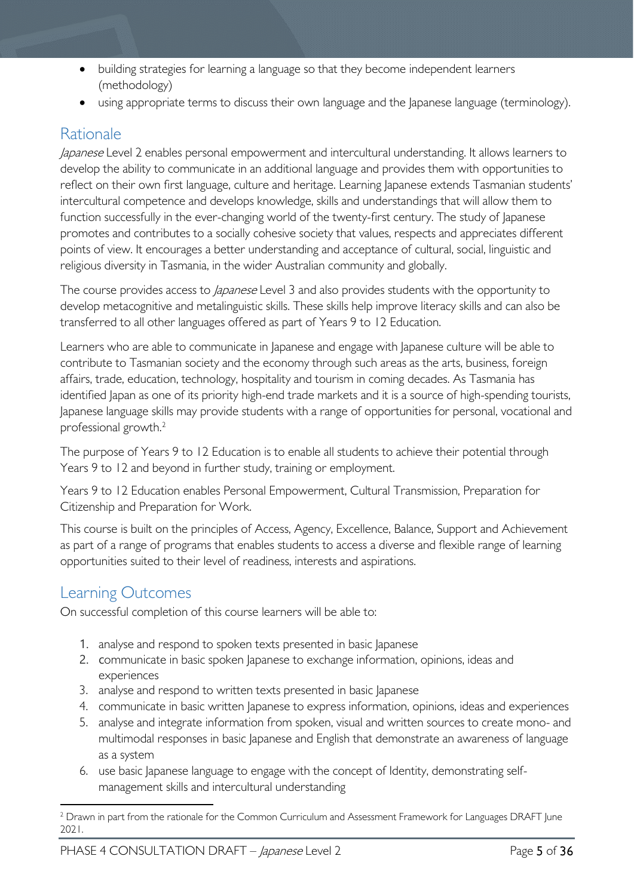- building strategies for learning a language so that they become independent learners (methodology)
- using appropriate terms to discuss their own language and the Japanese language (terminology).

# <span id="page-4-0"></span>Rationale

*Japanese* Level 2 enables personal empowerment and intercultural understanding. It allows learners to develop the ability to communicate in an additional language and provides them with opportunities to reflect on their own first language, culture and heritage. Learning Japanese extends Tasmanian students' intercultural competence and develops knowledge, skills and understandings that will allow them to function successfully in the ever-changing world of the twenty-first century. The study of Japanese promotes and contributes to a socially cohesive society that values, respects and appreciates different points of view. It encourages a better understanding and acceptance of cultural, social, linguistic and religious diversity in Tasmania, in the wider Australian community and globally.

The course provides access to *Japanese* Level 3 and also provides students with the opportunity to develop metacognitive and metalinguistic skills. These skills help improve literacy skills and can also be transferred to all other languages offered as part of Years 9 to 12 Education.

Learners who are able to communicate in Japanese and engage with Japanese culture will be able to contribute to Tasmanian society and the economy through such areas as the arts, business, foreign affairs, trade, education, technology, hospitality and tourism in coming decades. As Tasmania has identified Japan as one of its priority high-end trade markets and it is a source of high-spending tourists, Japanese language skills may provide students with a range of opportunities for personal, vocational and professional growth. [2](#page-4-2)

The purpose of Years 9 to 12 Education is to enable all students to achieve their potential through Years 9 to 12 and beyond in further study, training or employment.

Years 9 to 12 Education enables Personal Empowerment, Cultural Transmission, Preparation for Citizenship and Preparation for Work.

This course is built on the principles of Access, Agency, Excellence, Balance, Support and Achievement as part of a range of programs that enables students to access a diverse and flexible range of learning opportunities suited to their level of readiness, interests and aspirations.

# <span id="page-4-1"></span>Learning Outcomes

On successful completion of this course learners will be able to:

- 1. analyse and respond to spoken texts presented in basic lapanese
- 2. communicate in basic spoken Japanese to exchange information, opinions, ideas and experiences
- 3. analyse and respond to written texts presented in basic Japanese
- 4. communicate in basic written Japanese to express information, opinions, ideas and experiences
- 5. analyse and integrate information from spoken, visual and written sources to create mono- and multimodal responses in basic Japanese and English that demonstrate an awareness of language as a system
- 6. use basic Japanese language to engage with the concept of Identity, demonstrating selfmanagement skills and intercultural understanding

<span id="page-4-2"></span><sup>&</sup>lt;sup>2</sup> Drawn in part from the rationale for the Common Curriculum and Assessment Framework for Languages DRAFT June 2021.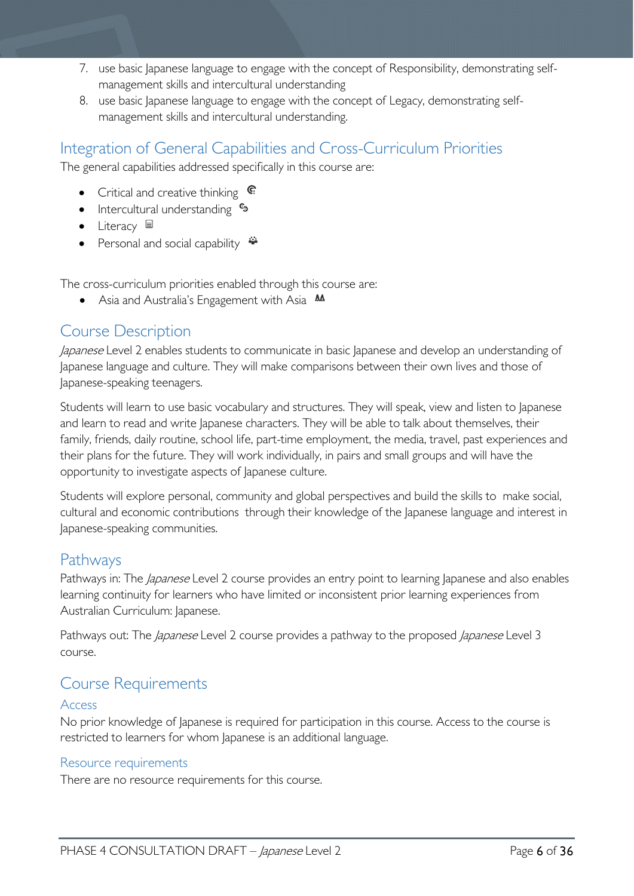- 7. use basic Japanese language to engage with the concept of Responsibility, demonstrating selfmanagement skills and intercultural understanding
- 8. use basic Japanese language to engage with the concept of Legacy, demonstrating selfmanagement skills and intercultural understanding.

# <span id="page-5-0"></span>Integration of General Capabilities and Cross-Curriculum Priorities

The general capabilities addressed specifically in this course are:

- Critical and creative thinking  $\epsilon$
- Intercultural understanding  $\frac{c_3}{ }$
- Literacy  $\blacksquare$
- Personal and social capability  $\ddot{\bullet}$

The cross-curriculum priorities enabled through this course are:

• Asia and Australia's Engagement with Asia **AA** 

# <span id="page-5-1"></span>Course Description

Japanese Level 2 enables students to communicate in basic Japanese and develop an understanding of Japanese language and culture. They will make comparisons between their own lives and those of Japanese-speaking teenagers.

Students will learn to use basic vocabulary and structures. They will speak, view and listen to Japanese and learn to read and write Japanese characters. They will be able to talk about themselves, their family, friends, daily routine, school life, part-time employment, the media, travel, past experiences and their plans for the future. They will work individually, in pairs and small groups and will have the opportunity to investigate aspects of Japanese culture.

Students will explore personal, community and global perspectives and build the skills to make social, cultural and economic contributions through their knowledge of the Japanese language and interest in Japanese-speaking communities.

## <span id="page-5-2"></span>Pathways

Pathways in: The *Japanese* Level 2 course provides an entry point to learning Japanese and also enables learning continuity for learners who have limited or inconsistent prior learning experiences from Australian Curriculum: Japanese.

Pathways out: The *Japanese* Level 2 course provides a pathway to the proposed *Japanese* Level 3 course.

# <span id="page-5-3"></span>Course Requirements

#### <span id="page-5-4"></span>Access

No prior knowledge of Japanese is required for participation in this course. Access to the course is restricted to learners for whom Japanese is an additional language.

#### <span id="page-5-5"></span>Resource requirements

There are no resource requirements for this course.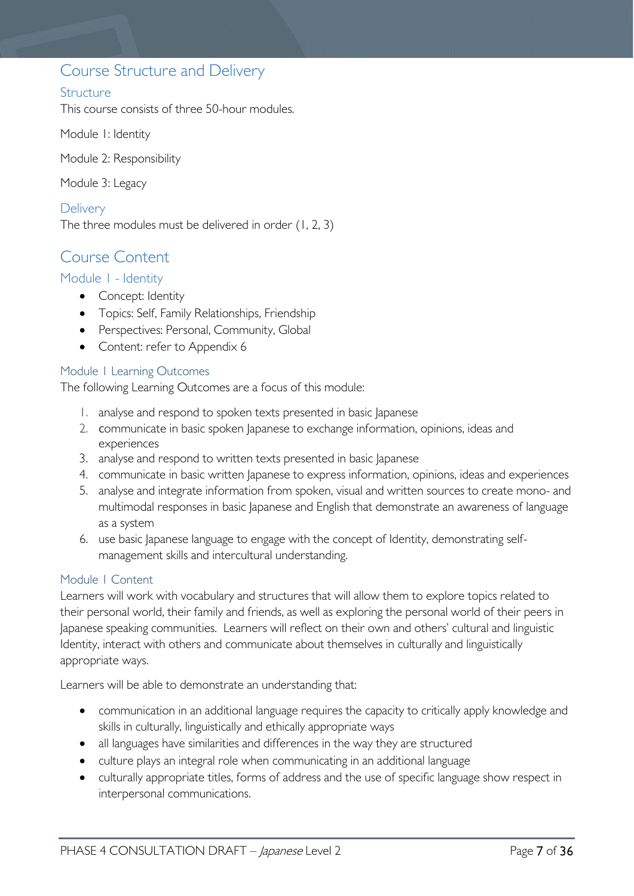## <span id="page-6-0"></span>Course Structure and Delivery

#### <span id="page-6-1"></span>**Structure**

This course consists of three 50-hour modules.

Module 1: Identity

Module 2: Responsibility

Module 3: Legacy

<span id="page-6-2"></span>**Delivery** The three modules must be delivered in order (1, 2, 3)

# <span id="page-6-3"></span>Course Content

#### <span id="page-6-4"></span>Module 1 - Identity

- Concept: Identity
- Topics: Self, Family Relationships, Friendship
- Perspectives: Personal, Community, Global
- Content: refer to Appendix 6

#### <span id="page-6-5"></span>Module 1 Learning Outcomes

The following Learning Outcomes are a focus of this module:

- 1. analyse and respond to spoken texts presented in basic Japanese
- 2. communicate in basic spoken Japanese to exchange information, opinions, ideas and experiences
- 3. analyse and respond to written texts presented in basic Japanese
- 4. communicate in basic written Japanese to express information, opinions, ideas and experiences
- 5. analyse and integrate information from spoken, visual and written sources to create mono- and multimodal responses in basic Japanese and English that demonstrate an awareness of language as a system
- 6. use basic Japanese language to engage with the concept of Identity, demonstrating selfmanagement skills and intercultural understanding.

#### <span id="page-6-6"></span>Module 1 Content

Learners will work with vocabulary and structures that will allow them to explore topics related to their personal world, their family and friends, as well as exploring the personal world of their peers in Japanese speaking communities. Learners will reflect on their own and others' cultural and linguistic Identity, interact with others and communicate about themselves in culturally and linguistically appropriate ways.

Learners will be able to demonstrate an understanding that:

- communication in an additional language requires the capacity to critically apply knowledge and skills in culturally, linguistically and ethically appropriate ways
- all languages have similarities and differences in the way they are structured
- culture plays an integral role when communicating in an additional language
- culturally appropriate titles, forms of address and the use of specific language show respect in interpersonal communications.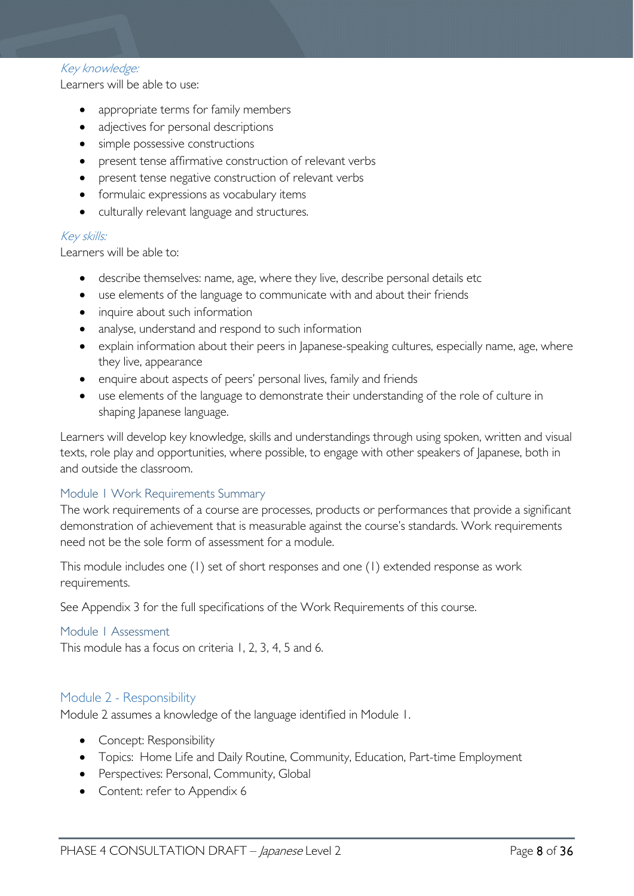#### Key knowledge:

Learners will be able to use:

- appropriate terms for family members
- adjectives for personal descriptions
- simple possessive constructions
- present tense affirmative construction of relevant verbs
- present tense negative construction of relevant verbs
- formulaic expressions as vocabulary items
- culturally relevant language and structures.

#### Key skills:

Learners will be able to:

- describe themselves: name, age, where they live, describe personal details etc
- use elements of the language to communicate with and about their friends
- inquire about such information
- analyse, understand and respond to such information
- explain information about their peers in Japanese-speaking cultures, especially name, age, where they live, appearance
- enquire about aspects of peers' personal lives, family and friends
- use elements of the language to demonstrate their understanding of the role of culture in shaping Japanese language.

Learners will develop key knowledge, skills and understandings through using spoken, written and visual texts, role play and opportunities, where possible, to engage with other speakers of Japanese, both in and outside the classroom.

#### <span id="page-7-0"></span>Module 1 Work Requirements Summary

The work requirements of a course are processes, products or performances that provide a significant demonstration of achievement that is measurable against the course's standards. Work requirements need not be the sole form of assessment for a module.

This module includes one (1) set of short responses and one (1) extended response as work requirements.

See Appendix 3 for the full specifications of the Work Requirements of this course.

#### <span id="page-7-1"></span>Module 1 Assessment

This module has a focus on criteria 1, 2, 3, 4, 5 and 6.

#### <span id="page-7-2"></span>Module 2 - Responsibility

Module 2 assumes a knowledge of the language identified in Module 1.

- Concept: Responsibility
- Topics: Home Life and Daily Routine, Community, Education, Part-time Employment
- Perspectives: Personal, Community, Global
- Content: refer to Appendix 6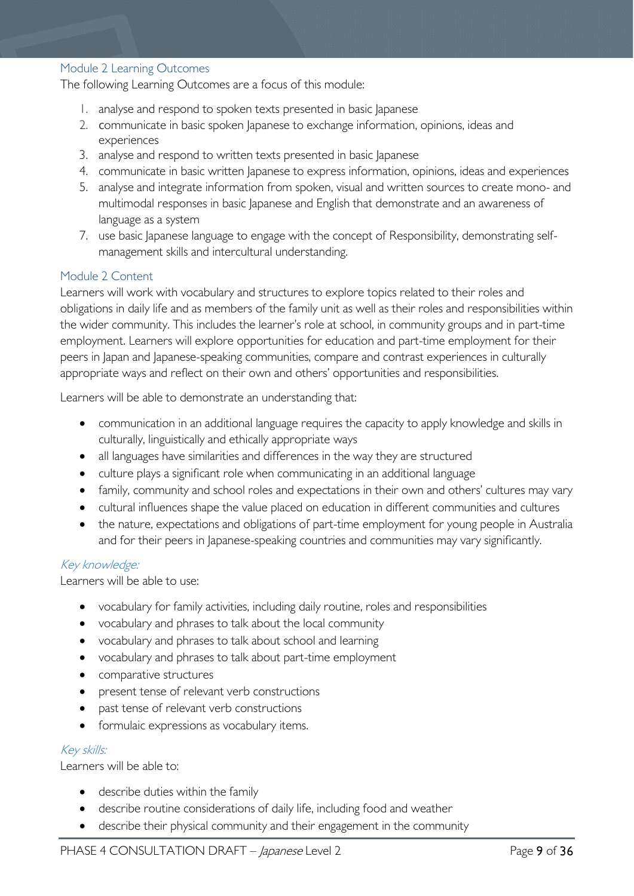#### <span id="page-8-0"></span>Module 2 Learning Outcomes

The following Learning Outcomes are a focus of this module:

- 1. analyse and respond to spoken texts presented in basic Japanese
- 2. communicate in basic spoken Japanese to exchange information, opinions, ideas and experiences
- 3. analyse and respond to written texts presented in basic Japanese
- 4. communicate in basic written Japanese to express information, opinions, ideas and experiences
- 5. analyse and integrate information from spoken, visual and written sources to create mono- and multimodal responses in basic Japanese and English that demonstrate and an awareness of language as a system
- 7. use basic Japanese language to engage with the concept of Responsibility, demonstrating selfmanagement skills and intercultural understanding.

#### <span id="page-8-1"></span>Module 2 Content

Learners will work with vocabulary and structures to explore topics related to their roles and obligations in daily life and as members of the family unit as well as their roles and responsibilities within the wider community. This includes the learner's role at school, in community groups and in part-time employment. Learners will explore opportunities for education and part-time employment for their peers in Japan and Japanese-speaking communities, compare and contrast experiences in culturally appropriate ways and reflect on their own and others' opportunities and responsibilities.

Learners will be able to demonstrate an understanding that:

- communication in an additional language requires the capacity to apply knowledge and skills in culturally, linguistically and ethically appropriate ways
- all languages have similarities and differences in the way they are structured
- culture plays a significant role when communicating in an additional language
- family, community and school roles and expectations in their own and others' cultures may vary
- cultural influences shape the value placed on education in different communities and cultures
- the nature, expectations and obligations of part-time employment for young people in Australia and for their peers in Japanese-speaking countries and communities may vary significantly.

#### Key knowledge:

Learners will be able to use:

- vocabulary for family activities, including daily routine, roles and responsibilities
- vocabulary and phrases to talk about the local community
- vocabulary and phrases to talk about school and learning
- vocabulary and phrases to talk about part-time employment
- comparative structures
- present tense of relevant verb constructions
- past tense of relevant verb constructions
- formulaic expressions as vocabulary items.

#### Key skills:

Learners will be able to:

- describe duties within the family
- describe routine considerations of daily life, including food and weather
- describe their physical community and their engagement in the community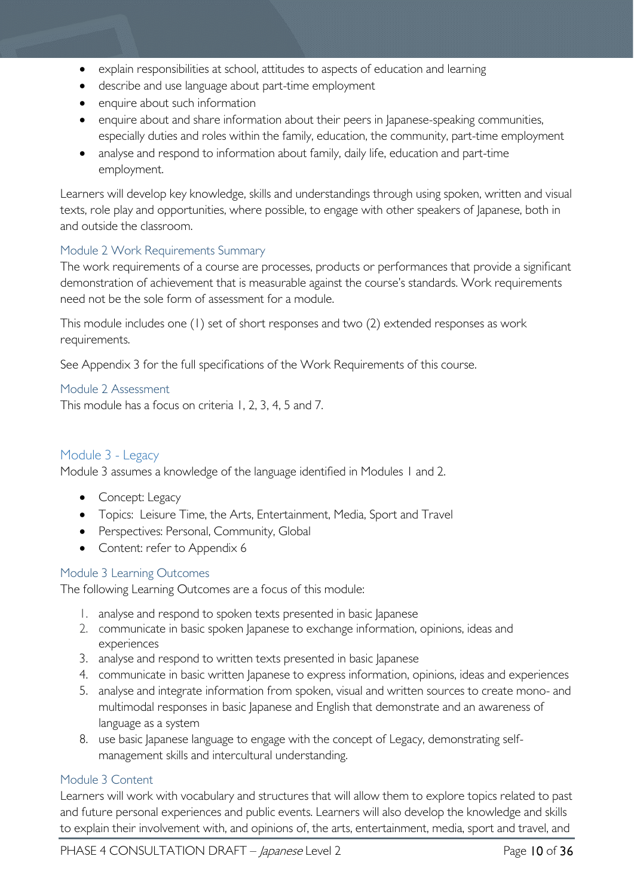- explain responsibilities at school, attitudes to aspects of education and learning
- describe and use language about part-time employment
- enquire about such information
- enquire about and share information about their peers in Japanese-speaking communities, especially duties and roles within the family, education, the community, part-time employment
- analyse and respond to information about family, daily life, education and part-time employment.

Learners will develop key knowledge, skills and understandings through using spoken, written and visual texts, role play and opportunities, where possible, to engage with other speakers of Japanese, both in and outside the classroom.

#### <span id="page-9-0"></span>Module 2 Work Requirements Summary

The work requirements of a course are processes, products or performances that provide a significant demonstration of achievement that is measurable against the course's standards. Work requirements need not be the sole form of assessment for a module.

This module includes one (1) set of short responses and two (2) extended responses as work requirements.

See Appendix 3 for the full specifications of the Work Requirements of this course.

#### <span id="page-9-1"></span>Module 2 Assessment

This module has a focus on criteria 1, 2, 3, 4, 5 and 7.

#### <span id="page-9-2"></span>Module 3 - Legacy

Module 3 assumes a knowledge of the language identified in Modules 1 and 2.

- Concept: Legacy
- Topics: Leisure Time, the Arts, Entertainment, Media, Sport and Travel
- Perspectives: Personal, Community, Global
- Content: refer to Appendix 6

#### <span id="page-9-3"></span>Module 3 Learning Outcomes

The following Learning Outcomes are a focus of this module:

- 1. analyse and respond to spoken texts presented in basic lapanese
- 2. communicate in basic spoken Japanese to exchange information, opinions, ideas and experiences
- 3. analyse and respond to written texts presented in basic Japanese
- 4. communicate in basic written Japanese to express information, opinions, ideas and experiences
- 5. analyse and integrate information from spoken, visual and written sources to create mono- and multimodal responses in basic Japanese and English that demonstrate and an awareness of language as a system
- 8. use basic Japanese language to engage with the concept of Legacy, demonstrating selfmanagement skills and intercultural understanding.

#### <span id="page-9-4"></span>Module 3 Content

Learners will work with vocabulary and structures that will allow them to explore topics related to past and future personal experiences and public events. Learners will also develop the knowledge and skills to explain their involvement with, and opinions of, the arts, entertainment, media, sport and travel, and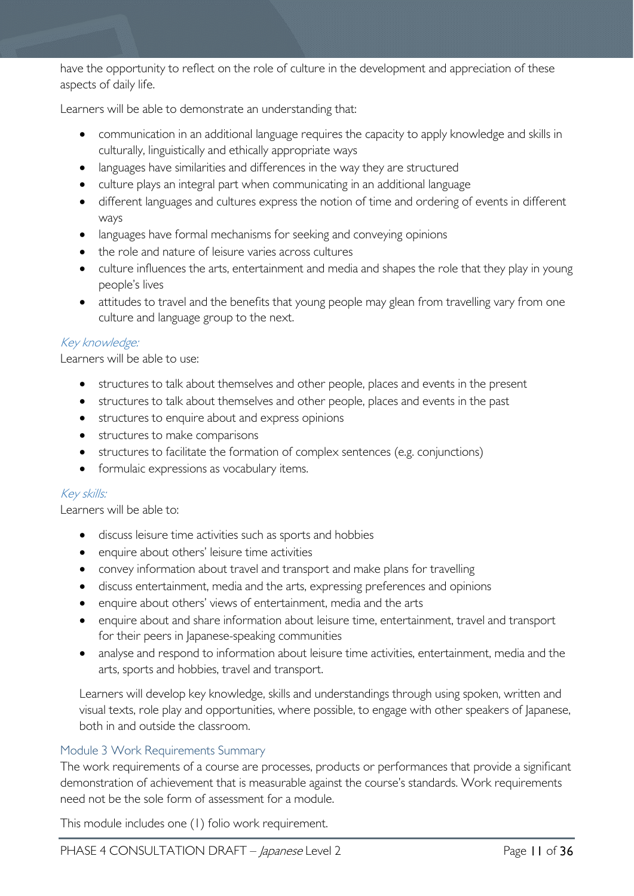have the opportunity to reflect on the role of culture in the development and appreciation of these aspects of daily life.

Learners will be able to demonstrate an understanding that:

- communication in an additional language requires the capacity to apply knowledge and skills in culturally, linguistically and ethically appropriate ways
- languages have similarities and differences in the way they are structured
- culture plays an integral part when communicating in an additional language
- different languages and cultures express the notion of time and ordering of events in different ways
- languages have formal mechanisms for seeking and conveying opinions
- the role and nature of leisure varies across cultures
- culture influences the arts, entertainment and media and shapes the role that they play in young people's lives
- attitudes to travel and the benefits that young people may glean from travelling vary from one culture and language group to the next.

#### Key knowledge:

Learners will be able to use:

- structures to talk about themselves and other people, places and events in the present
- structures to talk about themselves and other people, places and events in the past
- structures to enquire about and express opinions
- structures to make comparisons
- structures to facilitate the formation of complex sentences (e.g. conjunctions)
- formulaic expressions as vocabulary items.

#### Key skills:

Learners will be able to:

- discuss leisure time activities such as sports and hobbies
- enquire about others' leisure time activities
- convey information about travel and transport and make plans for travelling
- discuss entertainment, media and the arts, expressing preferences and opinions
- enquire about others' views of entertainment, media and the arts
- enquire about and share information about leisure time, entertainment, travel and transport for their peers in Japanese-speaking communities
- analyse and respond to information about leisure time activities, entertainment, media and the arts, sports and hobbies, travel and transport.

Learners will develop key knowledge, skills and understandings through using spoken, written and visual texts, role play and opportunities, where possible, to engage with other speakers of Japanese, both in and outside the classroom.

#### <span id="page-10-0"></span>Module 3 Work Requirements Summary

The work requirements of a course are processes, products or performances that provide a significant demonstration of achievement that is measurable against the course's standards. Work requirements need not be the sole form of assessment for a module.

This module includes one (1) folio work requirement.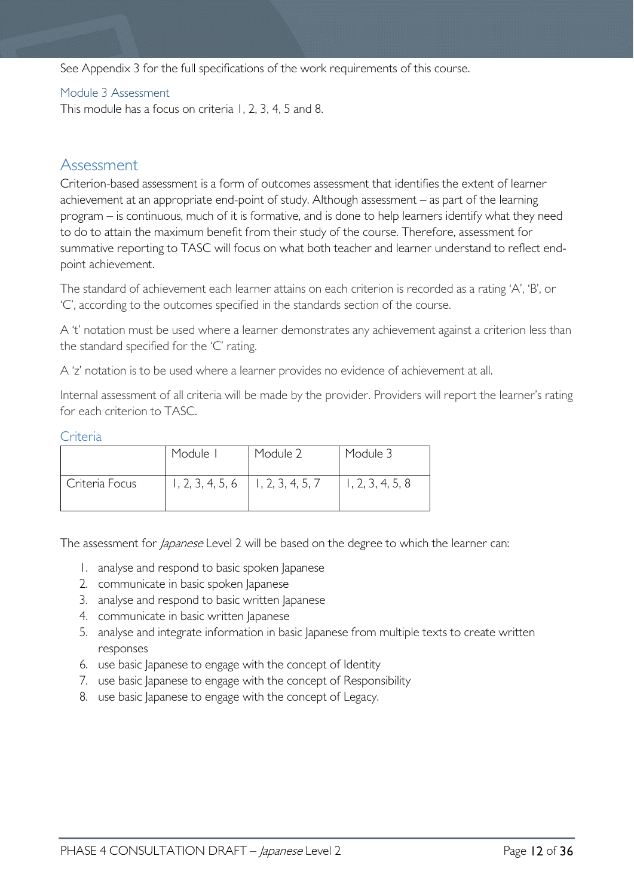See Appendix 3 for the full specifications of the work requirements of this course.

#### <span id="page-11-0"></span>Module 3 Assessment

This module has a focus on criteria 1, 2, 3, 4, 5 and 8.

## <span id="page-11-1"></span>Assessment

Criterion-based assessment is a form of outcomes assessment that identifies the extent of learner achievement at an appropriate end-point of study. Although assessment – as part of the learning program – is continuous, much of it is formative, and is done to help learners identify what they need to do to attain the maximum benefit from their study of the course. Therefore, assessment for summative reporting to TASC will focus on what both teacher and learner understand to reflect endpoint achievement.

The standard of achievement each learner attains on each criterion is recorded as a rating 'A', 'B', or 'C', according to the outcomes specified in the standards section of the course.

A 't' notation must be used where a learner demonstrates any achievement against a criterion less than the standard specified for the 'C' rating.

A 'z' notation is to be used where a learner provides no evidence of achievement at all.

Internal assessment of all criteria will be made by the provider. Providers will report the learner's rating for each criterion to TASC.

#### <span id="page-11-2"></span>Criteria

|                | Module I                              | Module 2 | Module 3         |
|----------------|---------------------------------------|----------|------------------|
| Criteria Focus | $1, 2, 3, 4, 5, 6$   1, 2, 3, 4, 5, 7 |          | 1, 2, 3, 4, 5, 8 |

The assessment for *Japanese* Level 2 will be based on the degree to which the learner can:

- 1. analyse and respond to basic spoken Japanese
- 2. communicate in basic spoken Japanese
- 3. analyse and respond to basic written Japanese
- 4. communicate in basic written Japanese
- 5. analyse and integrate information in basic Japanese from multiple texts to create written responses
- 6. use basic Japanese to engage with the concept of Identity
- 7. use basic Japanese to engage with the concept of Responsibility
- 8. use basic Japanese to engage with the concept of Legacy.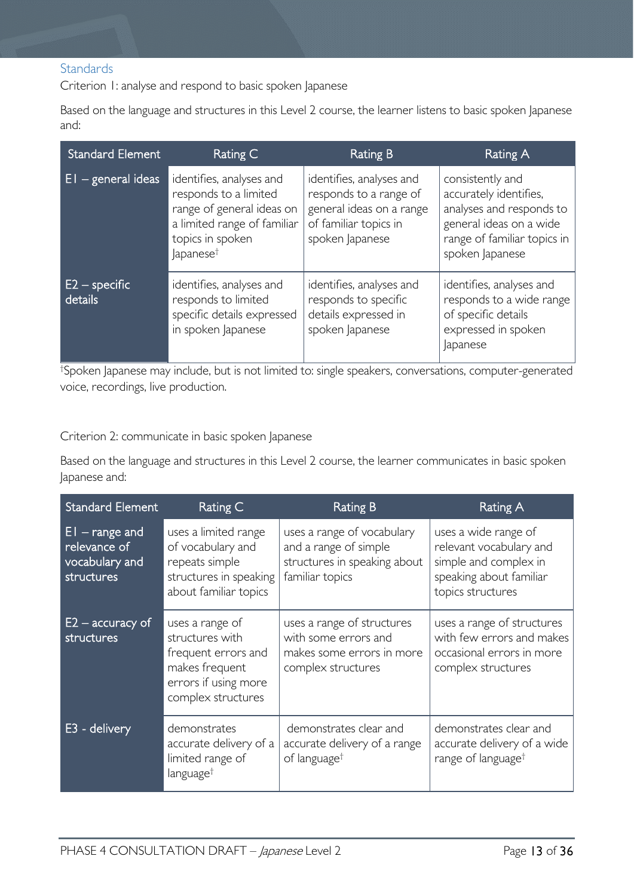#### <span id="page-12-0"></span>**Standards**

Criterion 1: analyse and respond to basic spoken Japanese

Based on the language and structures in this Level 2 course, the learner listens to basic spoken Japanese and:

| <b>Standard Element</b>                | Rating C                                                                                                                                                  | Rating B                                                                                                                   | Rating A                                                                                                                                            |
|----------------------------------------|-----------------------------------------------------------------------------------------------------------------------------------------------------------|----------------------------------------------------------------------------------------------------------------------------|-----------------------------------------------------------------------------------------------------------------------------------------------------|
| $EI - general$ ideas                   | identifies, analyses and<br>responds to a limited<br>range of general ideas on<br>a limited range of familiar<br>topics in spoken<br>apanese <sup>†</sup> | identifies, analyses and<br>responds to a range of<br>general ideas on a range<br>of familiar topics in<br>spoken Japanese | consistently and<br>accurately identifies,<br>analyses and responds to<br>general ideas on a wide<br>range of familiar topics in<br>spoken Japanese |
| $E2$ – specific $^{\prime}$<br>details | identifies, analyses and<br>responds to limited<br>specific details expressed<br>in spoken Japanese                                                       | identifies, analyses and<br>responds to specific<br>details expressed in<br>spoken Japanese                                | identifies, analyses and<br>responds to a wide range<br>of specific details<br>expressed in spoken<br>Japanese                                      |

† Spoken Japanese may include, but is not limited to: single speakers, conversations, computer-generated voice, recordings, live production.

#### Criterion 2: communicate in basic spoken Japanese

Based on the language and structures in this Level 2 course, the learner communicates in basic spoken Japanese and:

| <b>Standard Element</b>                                          | Rating C                                                                                                                  | <b>Rating B</b>                                                                                        | Rating A                                                                                                                 |
|------------------------------------------------------------------|---------------------------------------------------------------------------------------------------------------------------|--------------------------------------------------------------------------------------------------------|--------------------------------------------------------------------------------------------------------------------------|
| $EI$ – range and<br>relevance of<br>vocabulary and<br>structures | uses a limited range<br>of vocabulary and<br>repeats simple<br>structures in speaking<br>about familiar topics            | uses a range of vocabulary<br>and a range of simple<br>structures in speaking about<br>familiar topics | uses a wide range of<br>relevant vocabulary and<br>simple and complex in<br>speaking about familiar<br>topics structures |
| $E2$ – accuracy of<br>structures                                 | uses a range of<br>structures with<br>frequent errors and<br>makes frequent<br>errors if using more<br>complex structures | uses a range of structures<br>with some errors and<br>makes some errors in more<br>complex structures  | uses a range of structures<br>with few errors and makes<br>occasional errors in more<br>complex structures               |
| - delivery<br>E3                                                 | demonstrates<br>accurate delivery of a<br>limited range of<br>language <sup>†</sup>                                       | demonstrates clear and<br>accurate delivery of a range<br>of language <sup>†</sup>                     | demonstrates clear and<br>accurate delivery of a wide<br>range of language <sup>†</sup>                                  |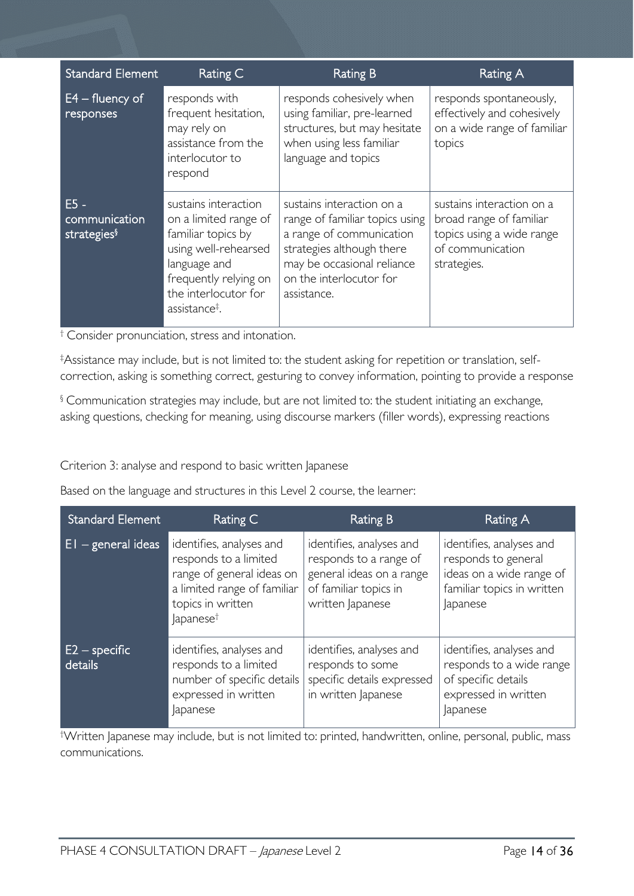| <b>Standard Element</b>                            | Rating C                                                                                                                                                                                  | <b>Rating B</b>                                                                                                                                                                              | <b>Rating A</b>                                                                                                      |
|----------------------------------------------------|-------------------------------------------------------------------------------------------------------------------------------------------------------------------------------------------|----------------------------------------------------------------------------------------------------------------------------------------------------------------------------------------------|----------------------------------------------------------------------------------------------------------------------|
| $E4 -$ fluency of<br>responses                     | responds with<br>frequent hesitation,<br>may rely on<br>assistance from the<br>interlocutor to<br>respond                                                                                 | responds cohesively when<br>using familiar, pre-learned<br>structures, but may hesitate<br>when using less familiar<br>language and topics                                                   | responds spontaneously,<br>effectively and cohesively<br>on a wide range of familiar<br>topics                       |
| $E5 -$<br>communication<br>strategies <sup>§</sup> | sustains interaction<br>on a limited range of<br>familiar topics by<br>using well-rehearsed<br>language and<br>frequently relying on<br>the interlocutor for<br>assistance <sup>‡</sup> . | sustains interaction on a<br>range of familiar topics using<br>a range of communication<br>strategies although there<br>may be occasional reliance<br>on the interlocutor for<br>assistance. | sustains interaction on a<br>broad range of familiar<br>topics using a wide range<br>of communication<br>strategies. |

† Consider pronunciation, stress and intonation.

‡ Assistance may include, but is not limited to: the student asking for repetition or translation, selfcorrection, asking is something correct, gesturing to convey information, pointing to provide a response

§ Communication strategies may include, but are not limited to: the student initiating an exchange, asking questions, checking for meaning, using discourse markers (filler words), expressing reactions

Criterion 3: analyse and respond to basic written Japanese

Based on the language and structures in this Level 2 course, the learner:

| Standard Element           | Rating C                                                                                                                                                    | Rating B                                                                                                                    | Rating A                                                                                                              |
|----------------------------|-------------------------------------------------------------------------------------------------------------------------------------------------------------|-----------------------------------------------------------------------------------------------------------------------------|-----------------------------------------------------------------------------------------------------------------------|
| $E1 - general ideas$       | identifies, analyses and<br>responds to a limited<br>range of general ideas on<br>a limited range of familiar<br>topics in written<br>Japanese <sup>†</sup> | identifies, analyses and<br>responds to a range of<br>general ideas on a range<br>of familiar topics in<br>written Japanese | identifies, analyses and<br>responds to general<br>ideas on a wide range of<br>familiar topics in written<br>Japanese |
| $E2$ – specific<br>details | identifies, analyses and<br>responds to a limited<br>number of specific details<br>expressed in written<br>Japanese                                         | identifies, analyses and<br>responds to some<br>specific details expressed<br>in written Japanese                           | identifies, analyses and<br>responds to a wide range<br>of specific details<br>expressed in written<br><i>apanese</i> |

† Written Japanese may include, but is not limited to: printed, handwritten, online, personal, public, mass communications.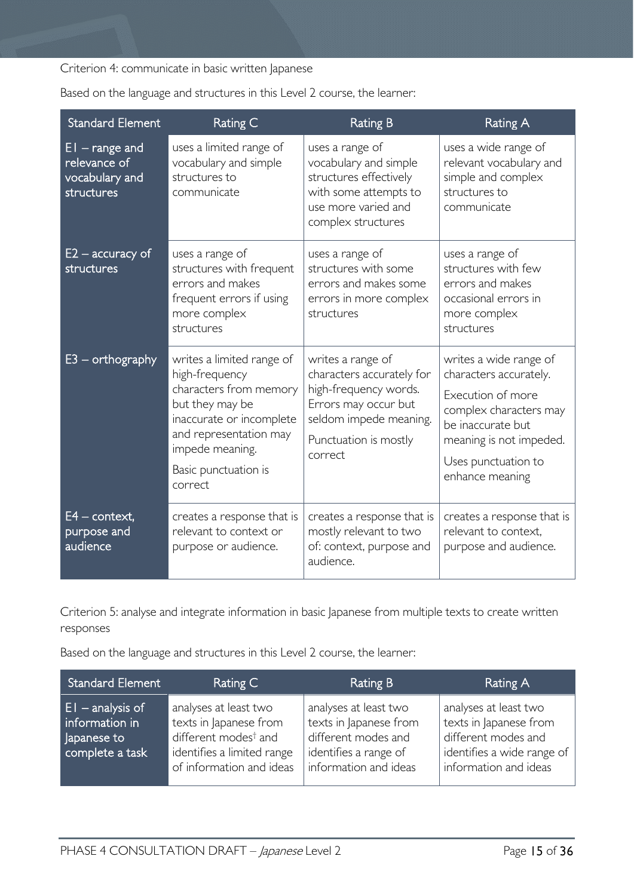Criterion 4: communicate in basic written Japanese

| <b>Standard Element</b>                                          | Rating C                                                                                                                                                                                             | <b>Rating B</b>                                                                                                                                               | Rating A                                                                                                                                                                                  |
|------------------------------------------------------------------|------------------------------------------------------------------------------------------------------------------------------------------------------------------------------------------------------|---------------------------------------------------------------------------------------------------------------------------------------------------------------|-------------------------------------------------------------------------------------------------------------------------------------------------------------------------------------------|
| $EI - range$ and<br>relevance of<br>vocabulary and<br>structures | uses a limited range of<br>vocabulary and simple<br>structures to<br>communicate                                                                                                                     | uses a range of<br>vocabulary and simple<br>structures effectively<br>with some attempts to<br>use more varied and<br>complex structures                      | uses a wide range of<br>relevant vocabulary and<br>simple and complex<br>structures to<br>communicate                                                                                     |
| $E2$ – accuracy of<br>structures                                 | uses a range of<br>structures with frequent<br>errors and makes<br>frequent errors if using<br>more complex<br>structures                                                                            | uses a range of<br>structures with some<br>errors and makes some<br>errors in more complex<br>structures                                                      | uses a range of<br>structures with few<br>errors and makes<br>occasional errors in<br>more complex<br>structures                                                                          |
| $E3$ – orthography                                               | writes a limited range of<br>high-frequency<br>characters from memory<br>but they may be<br>inaccurate or incomplete<br>and representation may<br>impede meaning.<br>Basic punctuation is<br>correct | writes a range of<br>characters accurately for<br>high-frequency words.<br>Errors may occur but<br>seldom impede meaning.<br>Punctuation is mostly<br>correct | writes a wide range of<br>characters accurately.<br>Execution of more<br>complex characters may<br>be inaccurate but<br>meaning is not impeded.<br>Uses punctuation to<br>enhance meaning |
| $E4$ – context,<br>purpose and<br>audience                       | creates a response that is<br>relevant to context or<br>purpose or audience.                                                                                                                         | creates a response that is<br>mostly relevant to two<br>of: context, purpose and<br>audience.                                                                 | creates a response that is<br>relevant to context,<br>purpose and audience.                                                                                                               |

Based on the language and structures in this Level 2 course, the learner:

Criterion 5: analyse and integrate information in basic Japanese from multiple texts to create written responses

Based on the language and structures in this Level 2 course, the learner:

| <b>Standard Element</b>                                                | Rating C                                                                                                                                      | <b>Rating B</b>                                                                                                          | Rating A                                                                                                                      |
|------------------------------------------------------------------------|-----------------------------------------------------------------------------------------------------------------------------------------------|--------------------------------------------------------------------------------------------------------------------------|-------------------------------------------------------------------------------------------------------------------------------|
| $EI$ – analysis of<br>information in<br>Japanese to<br>complete a task | analyses at least two<br>texts in Japanese from<br>different modes <sup>†</sup> and<br>identifies a limited range<br>of information and ideas | analyses at least two<br>texts in Japanese from<br>different modes and<br>identifies a range of<br>information and ideas | analyses at least two<br>texts in Japanese from<br>different modes and<br>identifies a wide range of<br>information and ideas |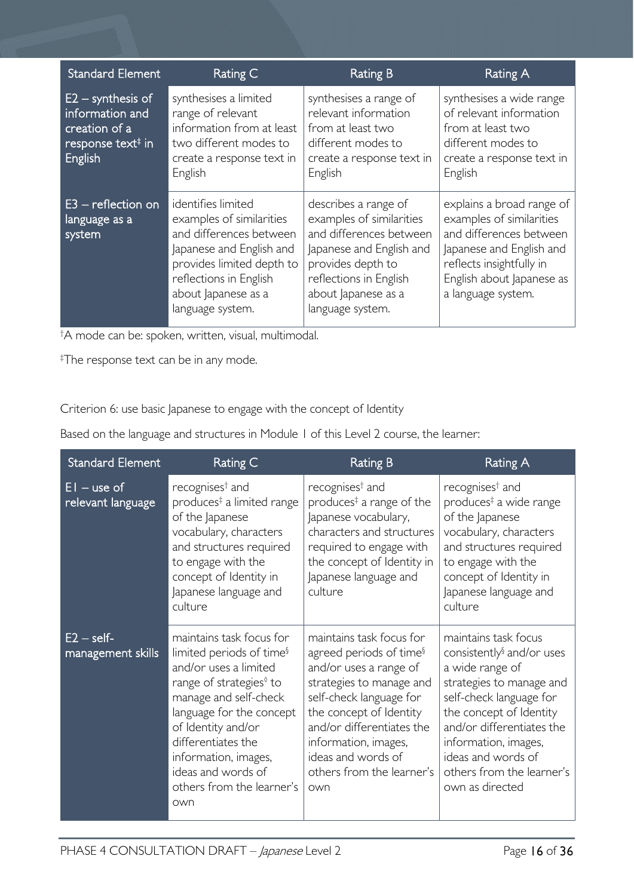| <b>Standard Element</b>                                                                             | Rating C                                                                                                                                                                                                | <b>Rating B</b>                                                                                                                                                                                   | Rating A                                                                                                                                                                                    |
|-----------------------------------------------------------------------------------------------------|---------------------------------------------------------------------------------------------------------------------------------------------------------------------------------------------------------|---------------------------------------------------------------------------------------------------------------------------------------------------------------------------------------------------|---------------------------------------------------------------------------------------------------------------------------------------------------------------------------------------------|
| $E2 -$ synthesis of<br>information and<br>creation of a<br>response text <sup>#</sup> in<br>English | synthesises a limited<br>range of relevant<br>information from at least<br>two different modes to<br>create a response text in<br>English                                                               | synthesises a range of<br>relevant information<br>from at least two<br>different modes to<br>create a response text in<br>English                                                                 | synthesises a wide range<br>of relevant information<br>from at least two<br>different modes to<br>create a response text in<br>English                                                      |
| $E3$ – reflection on<br>language as a<br>system                                                     | identifies limited<br>examples of similarities<br>and differences between<br>Japanese and English and<br>provides limited depth to<br>reflections in English<br>about Japanese as a<br>language system. | describes a range of<br>examples of similarities<br>and differences between<br>Japanese and English and<br>provides depth to<br>reflections in English<br>about Japanese as a<br>language system. | explains a broad range of<br>examples of similarities<br>and differences between<br>Japanese and English and<br>reflects insightfully in<br>English about Japanese as<br>a language system. |

† A mode can be: spoken, written, visual, multimodal.

‡ The response text can be in any mode.

Criterion 6: use basic Japanese to engage with the concept of Identity

Based on the language and structures in Module 1 of this Level 2 course, the learner:

| <b>Standard Element</b>            | Rating C                                                                                                                                                                                                                                                                                                            | <b>Rating B</b>                                                                                                                                                                                                                                                                            | Rating A                                                                                                                                                                                                                                                                                      |
|------------------------------------|---------------------------------------------------------------------------------------------------------------------------------------------------------------------------------------------------------------------------------------------------------------------------------------------------------------------|--------------------------------------------------------------------------------------------------------------------------------------------------------------------------------------------------------------------------------------------------------------------------------------------|-----------------------------------------------------------------------------------------------------------------------------------------------------------------------------------------------------------------------------------------------------------------------------------------------|
| $EI$ – use of<br>relevant language | recognises <sup>†</sup> and<br>produces <sup>‡</sup> a limited range<br>of the Japanese<br>vocabulary, characters<br>and structures required<br>to engage with the<br>concept of Identity in<br>Japanese language and<br>culture                                                                                    | recognises <sup>†</sup> and<br>produces <sup><math>‡</math></sup> a range of the<br>Japanese vocabulary,<br>characters and structures<br>required to engage with<br>the concept of Identity in<br>Japanese language and<br>culture                                                         | recognises <sup>†</sup> and<br>produces <sup>‡</sup> a wide range<br>of the Japanese<br>vocabulary, characters<br>and structures required<br>to engage with the<br>concept of Identity in<br>Japanese language and<br>culture                                                                 |
| $E2 - self$<br>management skills   | maintains task focus for<br>limited periods of time <sup>§</sup><br>and/or uses a limited<br>range of strategies <sup>®</sup> to<br>manage and self-check<br>language for the concept<br>of Identity and/or<br>differentiates the<br>information, images,<br>ideas and words of<br>others from the learner's<br>own | maintains task focus for<br>agreed periods of time <sup>§</sup><br>and/or uses a range of<br>strategies to manage and<br>self-check language for<br>the concept of Identity<br>and/or differentiates the<br>information, images,<br>ideas and words of<br>others from the learner's<br>own | maintains task focus<br>consistently <sup>§</sup> and/or uses<br>a wide range of<br>strategies to manage and<br>self-check language for<br>the concept of Identity<br>and/or differentiates the<br>information, images,<br>ideas and words of<br>others from the learner's<br>own as directed |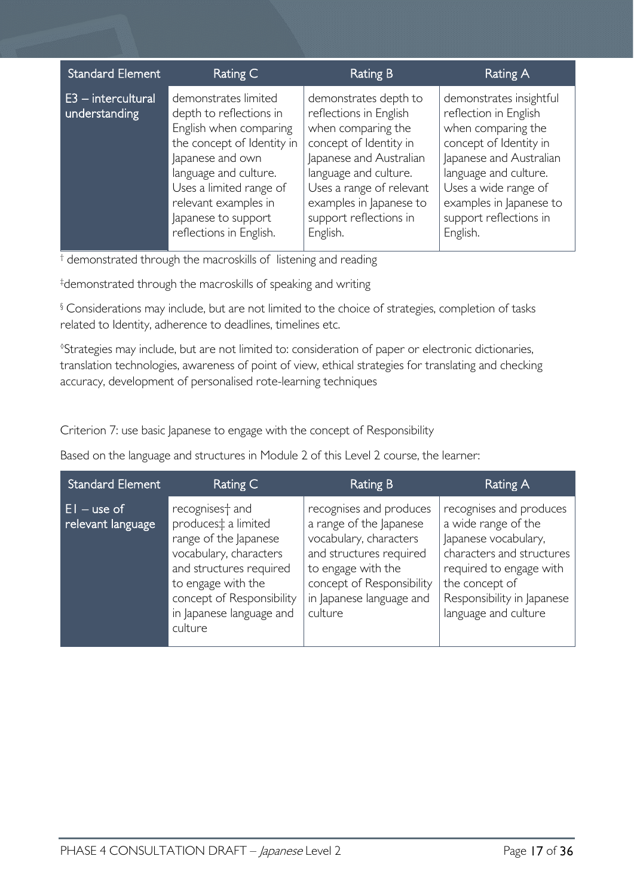| <b>Standard Element</b>               | Rating C                                                                                                                                                                                                                                                  | <b>Rating B</b>                                                                                                                                                                                                                                  | <b>Rating A</b>                                                                                                                                                                                                                               |
|---------------------------------------|-----------------------------------------------------------------------------------------------------------------------------------------------------------------------------------------------------------------------------------------------------------|--------------------------------------------------------------------------------------------------------------------------------------------------------------------------------------------------------------------------------------------------|-----------------------------------------------------------------------------------------------------------------------------------------------------------------------------------------------------------------------------------------------|
| $E3$ – intercultural<br>understanding | demonstrates limited<br>depth to reflections in<br>English when comparing<br>the concept of Identity in<br>Japanese and own<br>language and culture.<br>Uses a limited range of<br>relevant examples in<br>Japanese to support<br>reflections in English. | demonstrates depth to<br>reflections in English<br>when comparing the<br>concept of Identity in<br>Japanese and Australian<br>language and culture.<br>Uses a range of relevant<br>examples in Japanese to<br>support reflections in<br>English. | demonstrates insightful<br>reflection in English<br>when comparing the<br>concept of Identity in<br>Japanese and Australian<br>language and culture.<br>Uses a wide range of<br>examples in Japanese to<br>support reflections in<br>English. |

<sup>†</sup> demonstrated through the macroskills of listening and reading

‡ demonstrated through the macroskills of speaking and writing

§ Considerations may include, but are not limited to the choice of strategies, completion of tasks related to Identity, adherence to deadlines, timelines etc.

◊ Strategies may include, but are not limited to: consideration of paper or electronic dictionaries, translation technologies, awareness of point of view, ethical strategies for translating and checking accuracy, development of personalised rote-learning techniques

Criterion 7: use basic Japanese to engage with the concept of Responsibility

Based on the language and structures in Module 2 of this Level 2 course, the learner:

| <b>Standard Element</b>                | Rating C                                                                                                                                                                                                                               | Rating B                                                                                                                                                                                          | Rating A                                                                                                                                                                                               |
|----------------------------------------|----------------------------------------------------------------------------------------------------------------------------------------------------------------------------------------------------------------------------------------|---------------------------------------------------------------------------------------------------------------------------------------------------------------------------------------------------|--------------------------------------------------------------------------------------------------------------------------------------------------------------------------------------------------------|
| $E1 -$ use of $'$<br>relevant language | recognises <sup>+</sup> and<br>produces <sup>t</sup> a limited<br>range of the Japanese<br>vocabulary, characters<br>and structures required<br>to engage with the<br>concept of Responsibility<br>in Japanese language and<br>culture | recognises and produces<br>a range of the Japanese<br>vocabulary, characters<br>and structures required<br>to engage with the<br>concept of Responsibility<br>in Japanese language and<br>culture | recognises and produces<br>a wide range of the<br>Japanese vocabulary,<br>characters and structures<br>required to engage with<br>the concept of<br>Responsibility in Japanese<br>language and culture |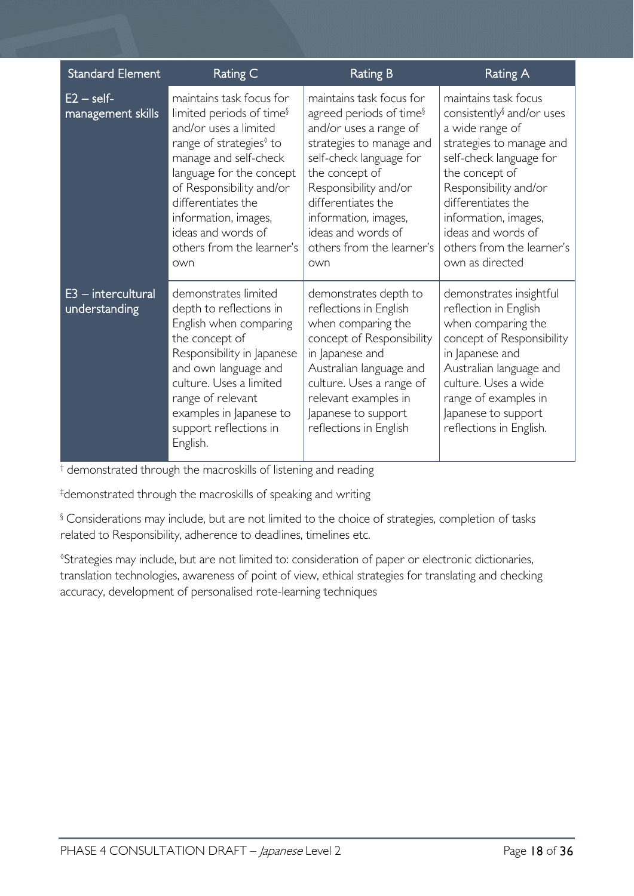| <b>Standard Element</b>               | <b>Rating C</b>                                                                                                                                                                                                                                                                                                           | <b>Rating B</b>                                                                                                                                                                                                                                                                                     | <b>Rating A</b>                                                                                                                                                                                                                                                                                        |
|---------------------------------------|---------------------------------------------------------------------------------------------------------------------------------------------------------------------------------------------------------------------------------------------------------------------------------------------------------------------------|-----------------------------------------------------------------------------------------------------------------------------------------------------------------------------------------------------------------------------------------------------------------------------------------------------|--------------------------------------------------------------------------------------------------------------------------------------------------------------------------------------------------------------------------------------------------------------------------------------------------------|
| $E2 - self$<br>management skills      | maintains task focus for<br>limited periods of time <sup>§</sup><br>and/or uses a limited<br>range of strategies <sup>0</sup> to<br>manage and self-check<br>language for the concept<br>of Responsibility and/or<br>differentiates the<br>information, images,<br>ideas and words of<br>others from the learner's<br>own | maintains task focus for<br>agreed periods of time <sup>§</sup><br>and/or uses a range of<br>strategies to manage and<br>self-check language for<br>the concept of<br>Responsibility and/or<br>differentiates the<br>information, images,<br>ideas and words of<br>others from the learner's<br>own | maintains task focus<br>consistently <sup>§</sup> and/or uses<br>a wide range of<br>strategies to manage and<br>self-check language for<br>the concept of<br>Responsibility and/or<br>differentiates the<br>information, images,<br>ideas and words of<br>others from the learner's<br>own as directed |
| $E3$ – intercultural<br>understanding | demonstrates limited<br>depth to reflections in<br>English when comparing<br>the concept of<br>Responsibility in Japanese<br>and own language and<br>culture. Uses a limited<br>range of relevant<br>examples in Japanese to<br>support reflections in<br>English.                                                        | demonstrates depth to<br>reflections in English<br>when comparing the<br>concept of Responsibility<br>in Japanese and<br>Australian language and<br>culture. Uses a range of<br>relevant examples in<br>Japanese to support<br>reflections in English                                               | demonstrates insightful<br>reflection in English<br>when comparing the<br>concept of Responsibility<br>in Japanese and<br>Australian language and<br>culture. Uses a wide<br>range of examples in<br>Japanese to support<br>reflections in English.                                                    |

† demonstrated through the macroskills of listening and reading

‡ demonstrated through the macroskills of speaking and writing

§ Considerations may include, but are not limited to the choice of strategies, completion of tasks related to Responsibility, adherence to deadlines, timelines etc.

◊ Strategies may include, but are not limited to: consideration of paper or electronic dictionaries, translation technologies, awareness of point of view, ethical strategies for translating and checking accuracy, development of personalised rote-learning techniques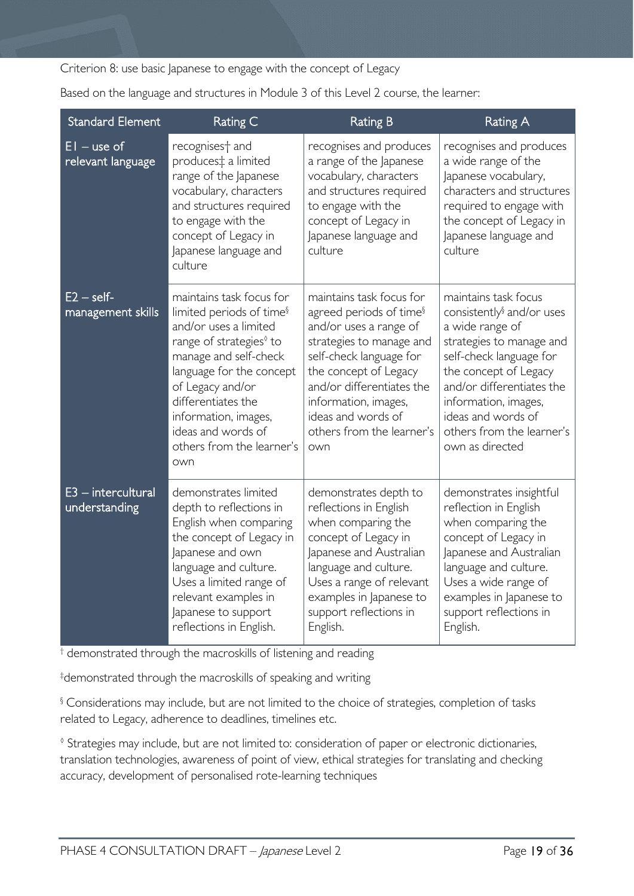Criterion 8: use basic Japanese to engage with the concept of Legacy

Based on the language and structures in Module 3 of this Level 2 course, the learner:

| <b>Standard Element</b>               | Rating C                                                                                                                                                                                                                                                                                                          | <b>Rating B</b>                                                                                                                                                                                                                                                                          | <b>Rating A</b>                                                                                                                                                                                                                                                                             |
|---------------------------------------|-------------------------------------------------------------------------------------------------------------------------------------------------------------------------------------------------------------------------------------------------------------------------------------------------------------------|------------------------------------------------------------------------------------------------------------------------------------------------------------------------------------------------------------------------------------------------------------------------------------------|---------------------------------------------------------------------------------------------------------------------------------------------------------------------------------------------------------------------------------------------------------------------------------------------|
| $EI - use of$<br>relevant language    | recognises <sup>+</sup> and<br>produces‡ a limited<br>range of the Japanese<br>vocabulary, characters<br>and structures required<br>to engage with the<br>concept of Legacy in<br>Japanese language and<br>culture                                                                                                | recognises and produces<br>a range of the Japanese<br>vocabulary, characters<br>and structures required<br>to engage with the<br>concept of Legacy in<br>Japanese language and<br>culture                                                                                                | recognises and produces<br>a wide range of the<br>Japanese vocabulary,<br>characters and structures<br>required to engage with<br>the concept of Legacy in<br>Japanese language and<br>culture                                                                                              |
| $E2 - self$<br>management skills      | maintains task focus for<br>limited periods of time <sup>§</sup><br>and/or uses a limited<br>range of strategies <sup>0</sup> to<br>manage and self-check<br>language for the concept<br>of Legacy and/or<br>differentiates the<br>information, images,<br>ideas and words of<br>others from the learner's<br>own | maintains task focus for<br>agreed periods of time <sup>§</sup><br>and/or uses a range of<br>strategies to manage and<br>self-check language for<br>the concept of Legacy<br>and/or differentiates the<br>information, images,<br>ideas and words of<br>others from the learner's<br>own | maintains task focus<br>consistently <sup>§</sup> and/or uses<br>a wide range of<br>strategies to manage and<br>self-check language for<br>the concept of Legacy<br>and/or differentiates the<br>information, images,<br>ideas and words of<br>others from the learner's<br>own as directed |
| $E3$ – intercultural<br>understanding | demonstrates limited<br>depth to reflections in<br>English when comparing<br>the concept of Legacy in<br>Japanese and own<br>language and culture.<br>Uses a limited range of<br>relevant examples in<br>Japanese to support<br>reflections in English.                                                           | demonstrates depth to<br>reflections in English<br>when comparing the<br>concept of Legacy in<br>Japanese and Australian<br>language and culture.<br>Uses a range of relevant<br>examples in Japanese to<br>support reflections in<br>English.                                           | demonstrates insightful<br>reflection in English<br>when comparing the<br>concept of Legacy in<br>Japanese and Australian<br>language and culture.<br>Uses a wide range of<br>examples in Japanese to<br>support reflections in<br>English.                                                 |

† demonstrated through the macroskills of listening and reading

‡ demonstrated through the macroskills of speaking and writing

§ Considerations may include, but are not limited to the choice of strategies, completion of tasks related to Legacy, adherence to deadlines, timelines etc.

◊ Strategies may include, but are not limited to: consideration of paper or electronic dictionaries, translation technologies, awareness of point of view, ethical strategies for translating and checking accuracy, development of personalised rote-learning techniques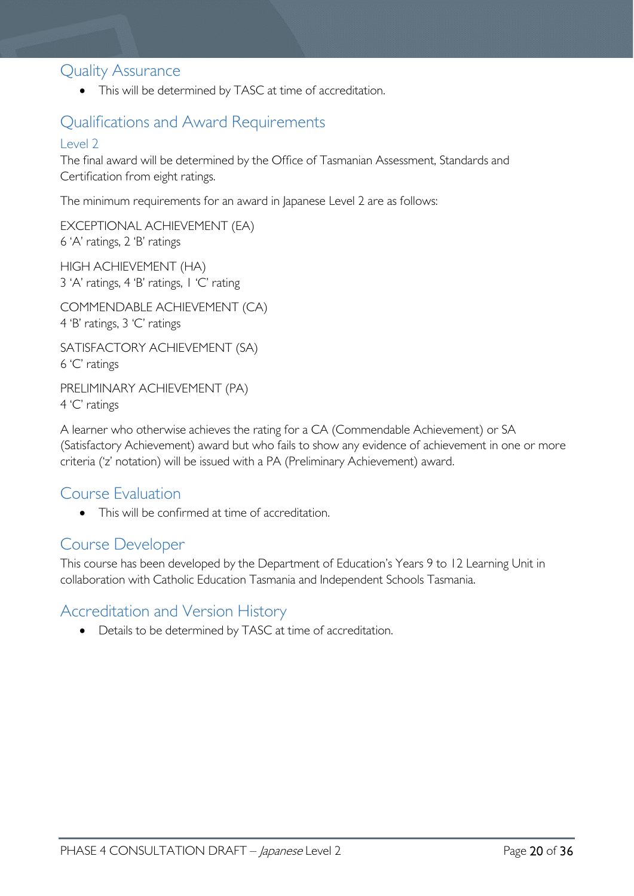## <span id="page-19-0"></span>Quality Assurance

• This will be determined by TASC at time of accreditation.

# <span id="page-19-1"></span>Qualifications and Award Requirements

#### <span id="page-19-2"></span>Level 2

The final award will be determined by the Office of Tasmanian Assessment, Standards and Certification from eight ratings.

The minimum requirements for an award in Japanese Level 2 are as follows:

EXCEPTIONAL ACHIEVEMENT (EA) 6 'A' ratings, 2 'B' ratings

HIGH ACHIEVEMENT (HA) 3 'A' ratings, 4 'B' ratings, 1 'C' rating

COMMENDABLE ACHIEVEMENT (CA) 4 'B' ratings, 3 'C' ratings

SATISFACTORY ACHIEVEMENT (SA) 6 'C' ratings

PRELIMINARY ACHIEVEMENT (PA) 4 'C' ratings

A learner who otherwise achieves the rating for a CA (Commendable Achievement) or SA (Satisfactory Achievement) award but who fails to show any evidence of achievement in one or more criteria ('z' notation) will be issued with a PA (Preliminary Achievement) award.

# <span id="page-19-3"></span>Course Evaluation

• This will be confirmed at time of accreditation.

## <span id="page-19-4"></span>Course Developer

This course has been developed by the Department of Education's Years 9 to 12 Learning Unit in collaboration with Catholic Education Tasmania and Independent Schools Tasmania.

# <span id="page-19-5"></span>Accreditation and Version History

• Details to be determined by TASC at time of accreditation.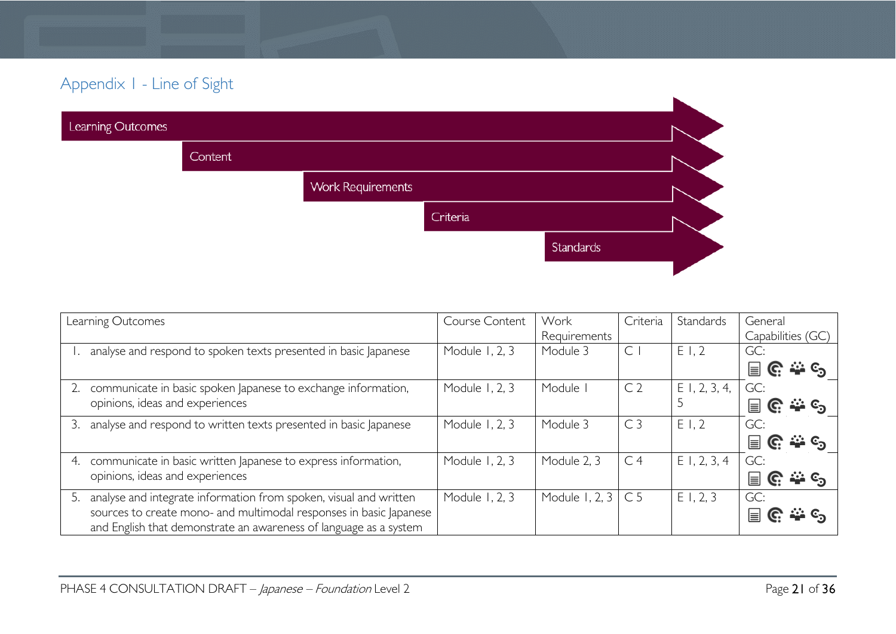# Appendix 1 - Line of Sight

| Learning Outcomes |                |                          |          |           |  |
|-------------------|----------------|--------------------------|----------|-----------|--|
|                   | <b>Content</b> |                          |          |           |  |
|                   |                | <b>Work Requirements</b> |          |           |  |
|                   |                |                          | Criteria |           |  |
|                   |                |                          |          | Standards |  |
|                   |                |                          |          |           |  |

<span id="page-20-0"></span>

| Learning Outcomes                                                       | Course Content | Work                      | Criteria       | Standards       | General                             |
|-------------------------------------------------------------------------|----------------|---------------------------|----------------|-----------------|-------------------------------------|
|                                                                         |                | Requirements              |                |                 | Capabilities (GC)                   |
| analyse and respond to spoken texts presented in basic Japanese         | Module 1, 2, 3 | Module 3                  | $\subset$      | E1,2            | GC:                                 |
|                                                                         |                |                           |                |                 | ြင္းမ်ား $c_2$<br>冒                 |
| communicate in basic spoken Japanese to exchange information,           | Module 1, 2, 3 | Module                    | C <sub>2</sub> | $E$ 1, 2, 3, 4, | GC:                                 |
| opinions, ideas and experiences                                         |                |                           |                |                 | $\rightarrow$ $\epsilon$<br>C.<br>⊫ |
| analyse and respond to written texts presented in basic Japanese        | Module 1, 2, 3 | Module 3                  | C <sub>3</sub> | E1,2            | GC:                                 |
|                                                                         |                |                           |                |                 | $\cdots$ $c_{2}$<br>冒<br>C.         |
| communicate in basic written Japanese to express information,<br>4.     | Module 1, 2, 3 | Module 2, 3               | C <sub>4</sub> | $E$ 1, 2, 3, 4  | GC:                                 |
| opinions, ideas and experiences                                         |                |                           |                |                 | ⊫<br>.మ. ⊙ <sub>న</sub><br>C.       |
| analyse and integrate information from spoken, visual and written<br>5. | Module 1, 2, 3 | Module 1, 2, $3 \mid C$ 5 |                | E1, 2, 3        | GC:                                 |
| sources to create mono- and multimodal responses in basic Japanese      |                |                           |                |                 | <u>ಮಿ ಲ</u> ್<br>l≡l                |
| and English that demonstrate an awareness of language as a system       |                |                           |                |                 |                                     |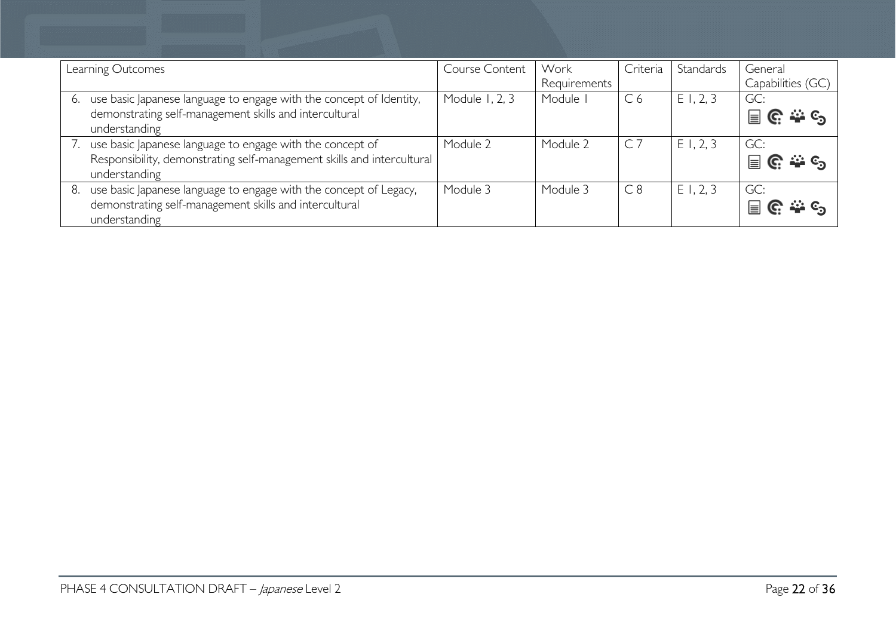|    | Learning Outcomes                                                      | Course Content | Work         | Criteria       | Standards   | General           |
|----|------------------------------------------------------------------------|----------------|--------------|----------------|-------------|-------------------|
|    |                                                                        |                | Requirements |                |             | Capabilities (GC) |
|    | use basic Japanese language to engage with the concept of Identity,    | Module 1, 2, 3 | Module       | C <sub>6</sub> | $E$ 1, 2, 3 | GC:               |
|    | demonstrating self-management skills and intercultural                 |                |              |                |             | ၉ ႏွင့<br>冒       |
|    | understanding                                                          |                |              |                |             |                   |
|    | use basic Japanese language to engage with the concept of              | Module 2       | Module 2     |                | E1, 2, 3    | GC:               |
|    | Responsibility, demonstrating self-management skills and intercultural |                |              |                |             | ၉ ေနေ<br>冒        |
|    | understanding                                                          |                |              |                |             |                   |
| 8. | use basic Japanese language to engage with the concept of Legacy,      | Module 3       | Module 3     | C8             | E1, 2, 3    | GC:               |
|    | demonstrating self-management skills and intercultural                 |                |              |                |             | $\equiv$          |
|    | understanding                                                          |                |              |                |             |                   |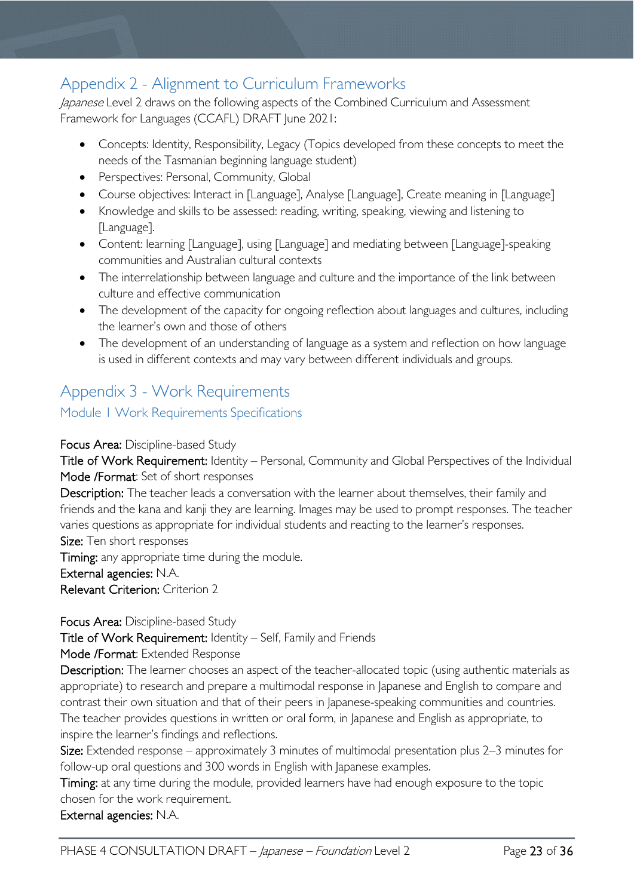# <span id="page-22-0"></span>Appendix 2 - Alignment to Curriculum Frameworks

Japanese Level 2 draws on the following aspects of the Combined Curriculum and Assessment Framework for Languages (CCAFL) DRAFT June 2021:

- Concepts: Identity, Responsibility, Legacy (Topics developed from these concepts to meet the needs of the Tasmanian beginning language student)
- Perspectives: Personal, Community, Global
- Course objectives: Interact in [Language], Analyse [Language], Create meaning in [Language]
- Knowledge and skills to be assessed: reading, writing, speaking, viewing and listening to [Language].
- Content: learning [Language], using [Language] and mediating between [Language]-speaking communities and Australian cultural contexts
- The interrelationship between language and culture and the importance of the link between culture and effective communication
- The development of the capacity for ongoing reflection about languages and cultures, including the learner's own and those of others
- The development of an understanding of language as a system and reflection on how language is used in different contexts and may vary between different individuals and groups.

# <span id="page-22-1"></span>Appendix 3 - Work Requirements

<span id="page-22-2"></span>Module 1 Work Requirements Specifications

Focus Area: Discipline-based Study

Title of Work Requirement: Identity – Personal, Community and Global Perspectives of the Individual Mode /Format: Set of short responses

Description: The teacher leads a conversation with the learner about themselves, their family and friends and the kana and kanji they are learning. Images may be used to prompt responses. The teacher varies questions as appropriate for individual students and reacting to the learner's responses. Size: Ten short responses

Timing: any appropriate time during the module. External agencies: N.A. Relevant Criterion: Criterion 2

Focus Area: Discipline-based Study

Title of Work Requirement: Identity – Self, Family and Friends

Mode /Format: Extended Response

Description: The learner chooses an aspect of the teacher-allocated topic (using authentic materials as appropriate) to research and prepare a multimodal response in Japanese and English to compare and contrast their own situation and that of their peers in Japanese-speaking communities and countries. The teacher provides questions in written or oral form, in Japanese and English as appropriate, to inspire the learner's findings and reflections.

Size: Extended response – approximately 3 minutes of multimodal presentation plus 2*–*3 minutes for follow-up oral questions and 300 words in English with Japanese examples.

Timing: at any time during the module, provided learners have had enough exposure to the topic chosen for the work requirement.

External agencies: N.A.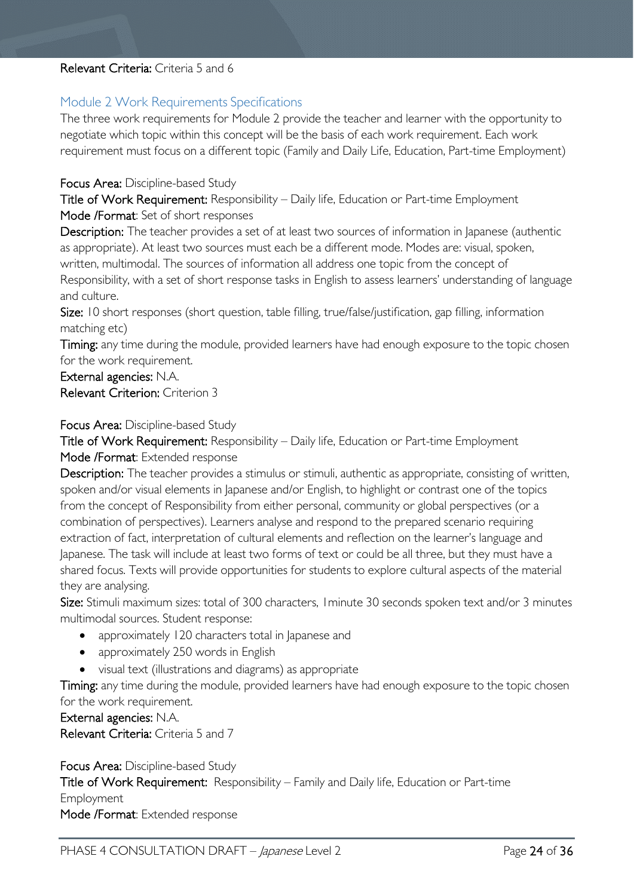#### Relevant Criteria: Criteria 5 and 6

#### <span id="page-23-0"></span>Module 2 Work Requirements Specifications

The three work requirements for Module 2 provide the teacher and learner with the opportunity to negotiate which topic within this concept will be the basis of each work requirement. Each work requirement must focus on a different topic (Family and Daily Life, Education, Part-time Employment)

#### Focus Area: Discipline-based Study

Title of Work Requirement: Responsibility – Daily life, Education or Part-time Employment Mode /Format: Set of short responses

Description: The teacher provides a set of at least two sources of information in Japanese (authentic as appropriate). At least two sources must each be a different mode. Modes are: visual, spoken, written, multimodal. The sources of information all address one topic from the concept of Responsibility, with a set of short response tasks in English to assess learners' understanding of language and culture.

Size: 10 short responses (short question, table filling, true/false/justification, gap filling, information matching etc)

Timing: any time during the module, provided learners have had enough exposure to the topic chosen for the work requirement.

External agencies: N.A. Relevant Criterion: Criterion 3

#### Focus Area: Discipline-based Study

Title of Work Requirement: Responsibility – Daily life, Education or Part-time Employment Mode /Format: Extended response

Description: The teacher provides a stimulus or stimuli, authentic as appropriate, consisting of written, spoken and/or visual elements in Japanese and/or English, to highlight or contrast one of the topics from the concept of Responsibility from either personal, community or global perspectives (or a combination of perspectives). Learners analyse and respond to the prepared scenario requiring extraction of fact, interpretation of cultural elements and reflection on the learner's language and Japanese. The task will include at least two forms of text or could be all three, but they must have a shared focus. Texts will provide opportunities for students to explore cultural aspects of the material they are analysing.

Size: Stimuli maximum sizes: total of 300 characters, 1minute 30 seconds spoken text and/or 3 minutes multimodal sources. Student response:

- approximately 120 characters total in lapanese and
- approximately 250 words in English
- visual text (illustrations and diagrams) as appropriate

Timing: any time during the module, provided learners have had enough exposure to the topic chosen for the work requirement.

External agencies: N.A.

Relevant Criteria: Criteria 5 and 7

Focus Area: Discipline-based Study Title of Work Requirement: Responsibility – Family and Daily life, Education or Part-time Employment Mode /Format: Extended response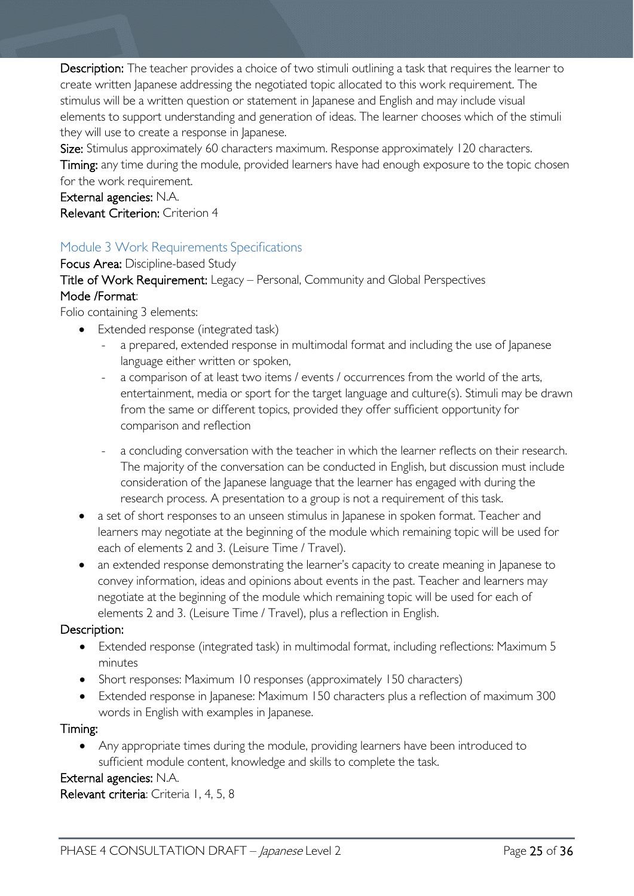Description: The teacher provides a choice of two stimuli outlining a task that requires the learner to create written Japanese addressing the negotiated topic allocated to this work requirement. The stimulus will be a written question or statement in Japanese and English and may include visual elements to support understanding and generation of ideas. The learner chooses which of the stimuli they will use to create a response in Japanese.

Size: Stimulus approximately 60 characters maximum. Response approximately 120 characters. Timing: any time during the module, provided learners have had enough exposure to the topic chosen for the work requirement.

External agencies: N.A. Relevant Criterion: Criterion 4

## <span id="page-24-0"></span>Module 3 Work Requirements Specifications

Focus Area: Discipline-based Study Title of Work Requirement: Legacy – Personal, Community and Global Perspectives Mode /Format:

Folio containing 3 elements:

- Extended response (integrated task)
	- a prepared, extended response in multimodal format and including the use of Japanese language either written or spoken,
	- a comparison of at least two items / events / occurrences from the world of the arts, entertainment, media or sport for the target language and culture(s). Stimuli may be drawn from the same or different topics, provided they offer sufficient opportunity for comparison and reflection
	- a concluding conversation with the teacher in which the learner reflects on their research. The majority of the conversation can be conducted in English, but discussion must include consideration of the Japanese language that the learner has engaged with during the research process. A presentation to a group is not a requirement of this task.
- a set of short responses to an unseen stimulus in Japanese in spoken format. Teacher and learners may negotiate at the beginning of the module which remaining topic will be used for each of elements 2 and 3. (Leisure Time / Travel).
- an extended response demonstrating the learner's capacity to create meaning in Japanese to convey information, ideas and opinions about events in the past. Teacher and learners may negotiate at the beginning of the module which remaining topic will be used for each of elements 2 and 3. (Leisure Time / Travel), plus a reflection in English.

#### Description:

- Extended response (integrated task) in multimodal format, including reflections: Maximum 5 minutes
- Short responses: Maximum 10 responses (approximately 150 characters)
- Extended response in Japanese: Maximum 150 characters plus a reflection of maximum 300 words in English with examples in Japanese.

#### Timing:

• Any appropriate times during the module, providing learners have been introduced to sufficient module content, knowledge and skills to complete the task.

## External agencies: N.A.

Relevant criteria: Criteria 1, 4, 5, 8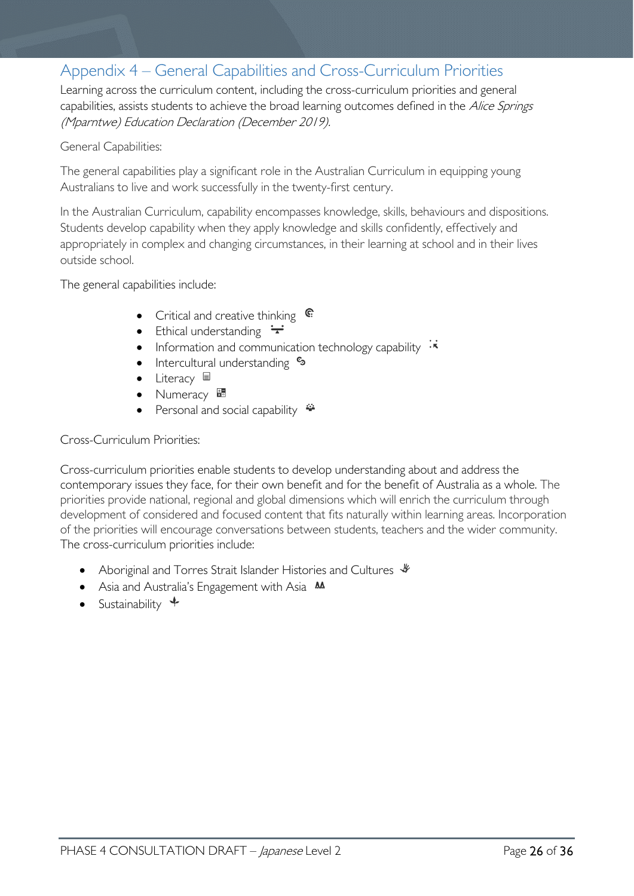# <span id="page-25-0"></span>Appendix 4 – General Capabilities and Cross-Curriculum Priorities

Learning across the curriculum content, including the cross-curriculum priorities and general capabilities, assists students to achieve the broad learning outcomes defined in the Alice Springs (Mparntwe) Education Declaration (December 2019).

#### General Capabilities:

The general capabilities play a significant role in the Australian Curriculum in equipping young Australians to live and work successfully in the twenty-first century.

In the Australian Curriculum, capability encompasses knowledge, skills, behaviours and dispositions. Students develop capability when they apply knowledge and skills confidently, effectively and appropriately in complex and changing circumstances, in their learning at school and in their lives outside school.

The general capabilities include:

- Critical and creative thinking  $\epsilon$
- Ethical understanding  $\div$
- Information and communication technology capability  $\cdot \star$
- **Intercultural understanding S**
- Literacy <sup>国</sup>
- Numeracy **\***
- Personal and social capability  $\ddot{\bullet}$

#### Cross-Curriculum Priorities:

Cross-curriculum priorities enable students to develop understanding about and address the contemporary issues they face, for their own benefit and for the benefit of Australia as a whole. The priorities provide national, regional and global dimensions which will enrich the curriculum through development of considered and focused content that fits naturally within learning areas. Incorporation of the priorities will encourage conversations between students, teachers and the wider community. The cross-curriculum priorities include:

- Aboriginal and Torres Strait Islander Histories and Cultures  $\mathcal$
- Asia and Australia's Engagement with Asia **AA**
- Sustainability  $\triangleleft$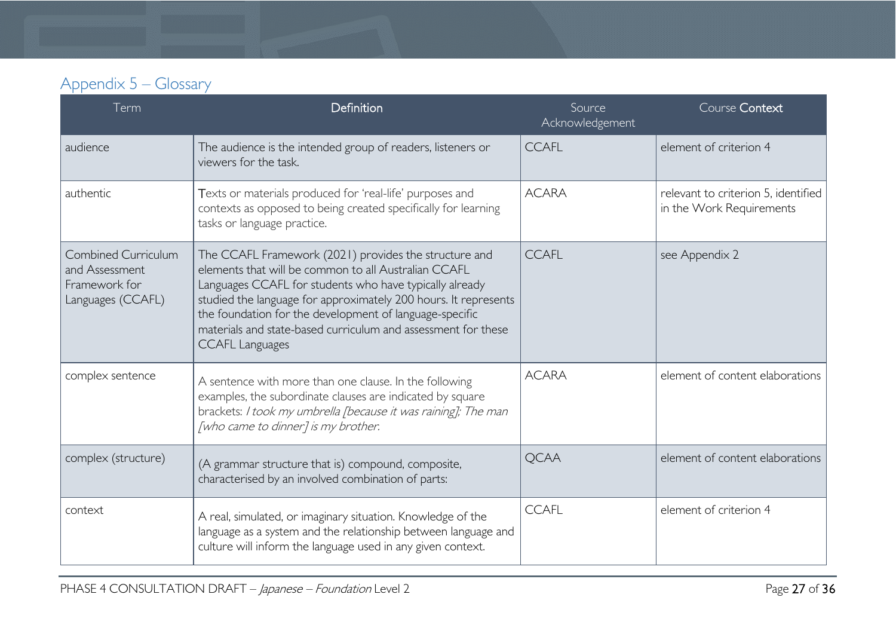| Appendix 5 – Glossary |  |
|-----------------------|--|
|-----------------------|--|

<span id="page-26-0"></span>

| Term                                                                               | Definition                                                                                                                                                                                                                                                                                                                                                                                        | Source<br>Acknowledgement | Course Context                                                  |
|------------------------------------------------------------------------------------|---------------------------------------------------------------------------------------------------------------------------------------------------------------------------------------------------------------------------------------------------------------------------------------------------------------------------------------------------------------------------------------------------|---------------------------|-----------------------------------------------------------------|
| audience                                                                           | The audience is the intended group of readers, listeners or<br>viewers for the task.                                                                                                                                                                                                                                                                                                              | <b>CCAFL</b>              | element of criterion 4                                          |
| authentic                                                                          | Texts or materials produced for 'real-life' purposes and<br>contexts as opposed to being created specifically for learning<br>tasks or language practice.                                                                                                                                                                                                                                         | <b>ACARA</b>              | relevant to criterion 5, identified<br>in the Work Requirements |
| <b>Combined Curriculum</b><br>and Assessment<br>Framework for<br>Languages (CCAFL) | The CCAFL Framework (2021) provides the structure and<br>elements that will be common to all Australian CCAFL<br>Languages CCAFL for students who have typically already<br>studied the language for approximately 200 hours. It represents<br>the foundation for the development of language-specific<br>materials and state-based curriculum and assessment for these<br><b>CCAFL Languages</b> | <b>CCAFL</b>              | see Appendix 2                                                  |
| complex sentence                                                                   | A sentence with more than one clause. In the following<br>examples, the subordinate clauses are indicated by square<br>brackets: I took my umbrella [because it was raining]; The man<br>[who came to dinner] is my brother.                                                                                                                                                                      | <b>ACARA</b>              | element of content elaborations                                 |
| complex (structure)                                                                | (A grammar structure that is) compound, composite,<br>characterised by an involved combination of parts:                                                                                                                                                                                                                                                                                          | <b>QCAA</b>               | element of content elaborations                                 |
| context                                                                            | A real, simulated, or imaginary situation. Knowledge of the<br>language as a system and the relationship between language and<br>culture will inform the language used in any given context.                                                                                                                                                                                                      | <b>CCAFL</b>              | element of criterion 4                                          |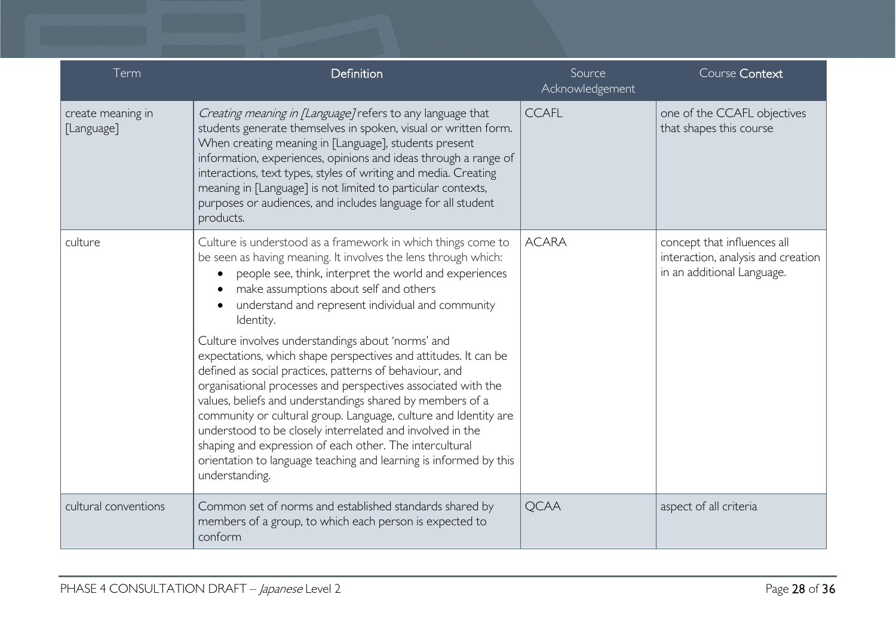| Term                            | Definition                                                                                                                                                                                                                                                                                                                                                                                                                                                                                                                                                                                                                                                                                                                                                                                                                                                                                              | Source<br>Acknowledgement | Course Context                                                                                  |
|---------------------------------|---------------------------------------------------------------------------------------------------------------------------------------------------------------------------------------------------------------------------------------------------------------------------------------------------------------------------------------------------------------------------------------------------------------------------------------------------------------------------------------------------------------------------------------------------------------------------------------------------------------------------------------------------------------------------------------------------------------------------------------------------------------------------------------------------------------------------------------------------------------------------------------------------------|---------------------------|-------------------------------------------------------------------------------------------------|
| create meaning in<br>[Language] | Creating meaning in [Language] refers to any language that<br>students generate themselves in spoken, visual or written form.<br>When creating meaning in [Language], students present<br>information, experiences, opinions and ideas through a range of<br>interactions, text types, styles of writing and media. Creating<br>meaning in [Language] is not limited to particular contexts,<br>purposes or audiences, and includes language for all student<br>products.                                                                                                                                                                                                                                                                                                                                                                                                                               | <b>CCAFL</b>              | one of the CCAFL objectives<br>that shapes this course                                          |
| culture                         | Culture is understood as a framework in which things come to<br>be seen as having meaning. It involves the lens through which:<br>people see, think, interpret the world and experiences<br>make assumptions about self and others<br>understand and represent individual and community<br>Identity.<br>Culture involves understandings about 'norms' and<br>expectations, which shape perspectives and attitudes. It can be<br>defined as social practices, patterns of behaviour, and<br>organisational processes and perspectives associated with the<br>values, beliefs and understandings shared by members of a<br>community or cultural group. Language, culture and Identity are<br>understood to be closely interrelated and involved in the<br>shaping and expression of each other. The intercultural<br>orientation to language teaching and learning is informed by this<br>understanding. | <b>ACARA</b>              | concept that influences all<br>interaction, analysis and creation<br>in an additional Language. |
| cultural conventions            | Common set of norms and established standards shared by<br>members of a group, to which each person is expected to<br>conform                                                                                                                                                                                                                                                                                                                                                                                                                                                                                                                                                                                                                                                                                                                                                                           | <b>QCAA</b>               | aspect of all criteria                                                                          |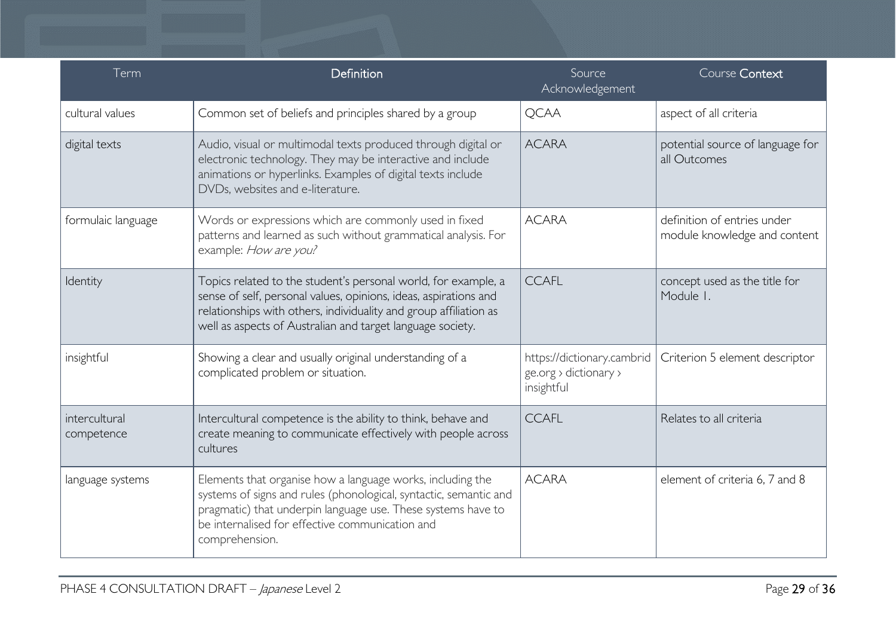| Term                        | Definition                                                                                                                                                                                                                                                            | Source<br>Acknowledgement                                         | Course Context                                              |
|-----------------------------|-----------------------------------------------------------------------------------------------------------------------------------------------------------------------------------------------------------------------------------------------------------------------|-------------------------------------------------------------------|-------------------------------------------------------------|
| cultural values             | Common set of beliefs and principles shared by a group                                                                                                                                                                                                                | <b>QCAA</b>                                                       | aspect of all criteria                                      |
| digital texts               | Audio, visual or multimodal texts produced through digital or<br>electronic technology. They may be interactive and include<br>animations or hyperlinks. Examples of digital texts include<br>DVDs, websites and e-literature.                                        | <b>ACARA</b>                                                      | potential source of language for<br>all Outcomes            |
| formulaic language          | Words or expressions which are commonly used in fixed<br>patterns and learned as such without grammatical analysis. For<br>example: How are you?                                                                                                                      | <b>ACARA</b>                                                      | definition of entries under<br>module knowledge and content |
| Identity                    | Topics related to the student's personal world, for example, a<br>sense of self, personal values, opinions, ideas, aspirations and<br>relationships with others, individuality and group affiliation as<br>well as aspects of Australian and target language society. | <b>CCAFL</b>                                                      | concept used as the title for<br>Module I.                  |
| insightful                  | Showing a clear and usually original understanding of a<br>complicated problem or situation.                                                                                                                                                                          | https://dictionary.cambrid<br>ge.org > dictionary ><br>insightful | Criterion 5 element descriptor                              |
| intercultural<br>competence | Intercultural competence is the ability to think, behave and<br>create meaning to communicate effectively with people across<br>cultures                                                                                                                              | <b>CCAFL</b>                                                      | Relates to all criteria                                     |
| language systems            | Elements that organise how a language works, including the<br>systems of signs and rules (phonological, syntactic, semantic and<br>pragmatic) that underpin language use. These systems have to<br>be internalised for effective communication and<br>comprehension.  | <b>ACARA</b>                                                      | element of criteria 6, 7 and 8                              |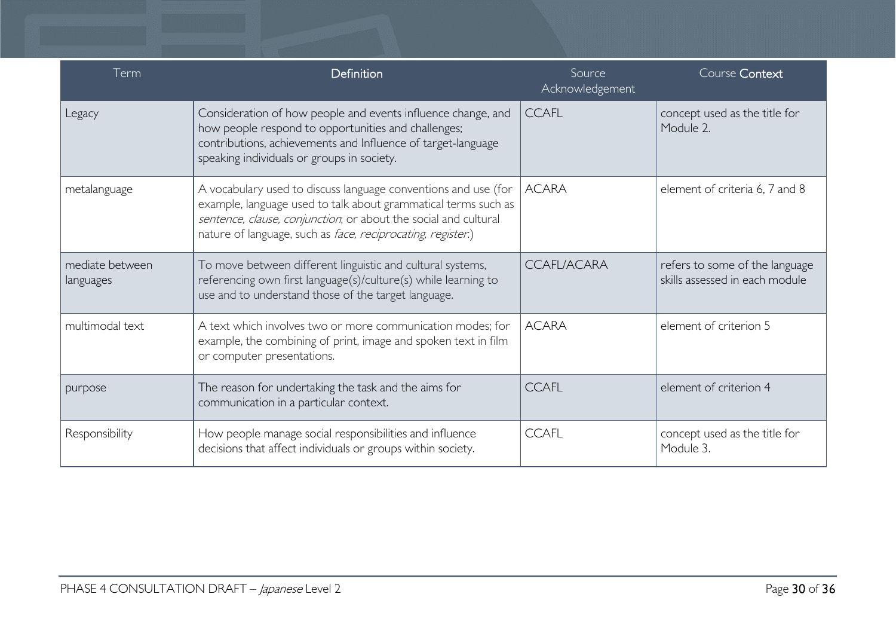| Term                         | Definition                                                                                                                                                                                                                                                         | Source<br>Acknowledgement | Course Context                                                   |
|------------------------------|--------------------------------------------------------------------------------------------------------------------------------------------------------------------------------------------------------------------------------------------------------------------|---------------------------|------------------------------------------------------------------|
| Legacy                       | Consideration of how people and events influence change, and<br>how people respond to opportunities and challenges;<br>contributions, achievements and Influence of target-language<br>speaking individuals or groups in society.                                  | <b>CCAFL</b>              | concept used as the title for<br>Module 2.                       |
| metalanguage                 | A vocabulary used to discuss language conventions and use (for<br>example, language used to talk about grammatical terms such as<br>sentence, clause, conjunction, or about the social and cultural<br>nature of language, such as face, reciprocating, register.) | <b>ACARA</b>              | element of criteria 6, 7 and 8                                   |
| mediate between<br>languages | To move between different linguistic and cultural systems,<br>referencing own first language(s)/culture(s) while learning to<br>use and to understand those of the target language.                                                                                | <b>CCAFLIACARA</b>        | refers to some of the language<br>skills assessed in each module |
| multimodal text              | A text which involves two or more communication modes; for<br>example, the combining of print, image and spoken text in film<br>or computer presentations.                                                                                                         | <b>ACARA</b>              | element of criterion 5                                           |
| purpose                      | The reason for undertaking the task and the aims for<br>communication in a particular context.                                                                                                                                                                     | <b>CCAFL</b>              | element of criterion 4                                           |
| Responsibility               | How people manage social responsibilities and influence<br>decisions that affect individuals or groups within society.                                                                                                                                             | <b>CCAFL</b>              | concept used as the title for<br>Module 3.                       |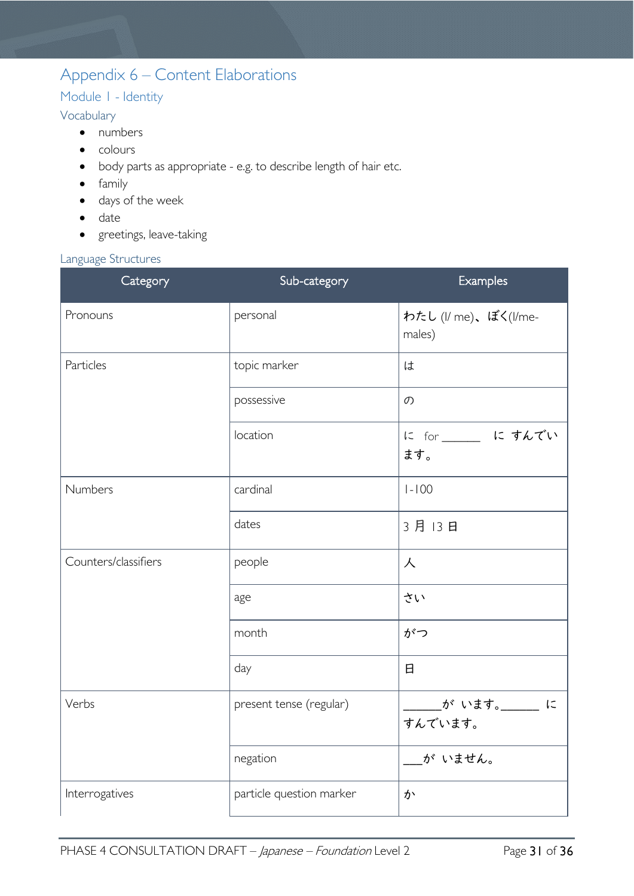# <span id="page-30-0"></span>Appendix 6 – Content Elaborations

## <span id="page-30-1"></span>Module 1 - Identity

## <span id="page-30-2"></span>Vocabulary

- numbers
- colours
- body parts as appropriate e.g. to describe length of hair etc.
- family
- days of the week
- date
- greetings, leave-taking

#### <span id="page-30-3"></span>Language Structures

| Category             | Sub-category             | Examples                       |
|----------------------|--------------------------|--------------------------------|
| Pronouns             | personal                 | わたし (I/ me)、ぼく(I/me-<br>males) |
| Particles            | topic marker             | は                              |
|                      | possessive               | $\mathcal{O}$                  |
|                      | location                 | に for ____ に すんでい<br>ます。       |
| Numbers              | cardinal                 | $1 - 100$                      |
|                      | dates                    | 3月13日                          |
| Counters/classifiers | people                   | 人                              |
|                      | age                      | さい                             |
|                      | month                    | がつ                             |
|                      | day                      | 日                              |
| Verbs                | present tense (regular)  | が います。___ に<br>すんでいます。         |
|                      | negation                 | が いません。                        |
| Interrogatives       | particle question marker | か                              |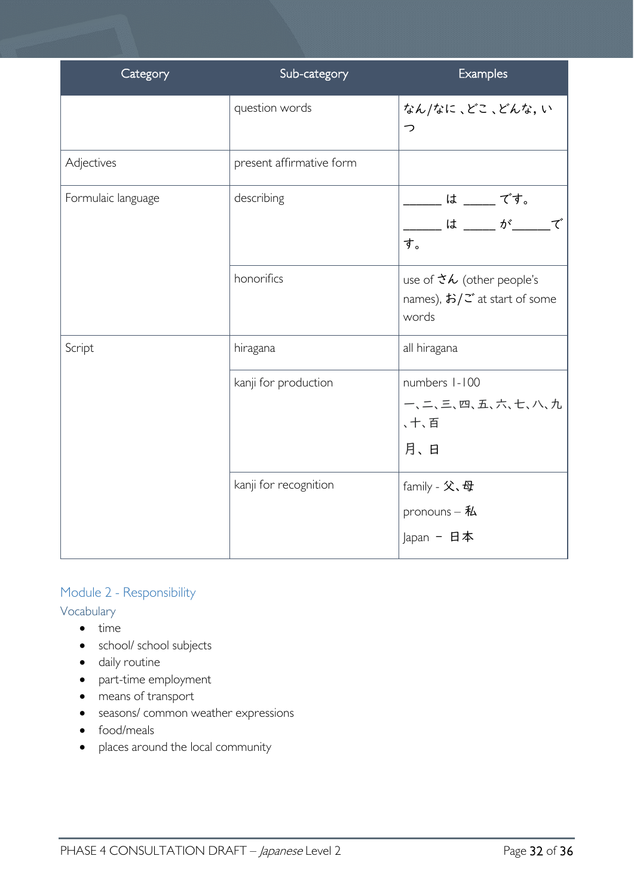| Category           | Sub-category             | Examples                                                                                                         |
|--------------------|--------------------------|------------------------------------------------------------------------------------------------------------------|
|                    | question words           | なん/なに、どこ、どんな、い<br>っ                                                                                              |
| Adjectives         | present affirmative form |                                                                                                                  |
| Formulaic language | describing               | ____ は ____ です。<br>_ は ____ が_____で<br>す。                                                                        |
|                    | honorifics               | use of $\mathcal{X}\mathcal{L}$ (other people's<br>names), $\frac{1}{2}$ $\frac{1}{2}$ at start of some<br>words |
| Script             | hiragana                 | all hiragana                                                                                                     |
|                    | kanji for production     | numbers 1-100<br>一、二、三、四、五、六、七、八、九<br>、十、百<br>月、日                                                                |
|                    | kanji for recognition    | family - 父、母<br>pronouns $-$ 私<br>Japan - 日本                                                                     |

## <span id="page-31-0"></span>Module 2 - Responsibility

<span id="page-31-1"></span>Vocabulary

- time
- school/ school subjects
- daily routine
- part-time employment
- means of transport
- seasons/ common weather expressions
- food/meals
- places around the local community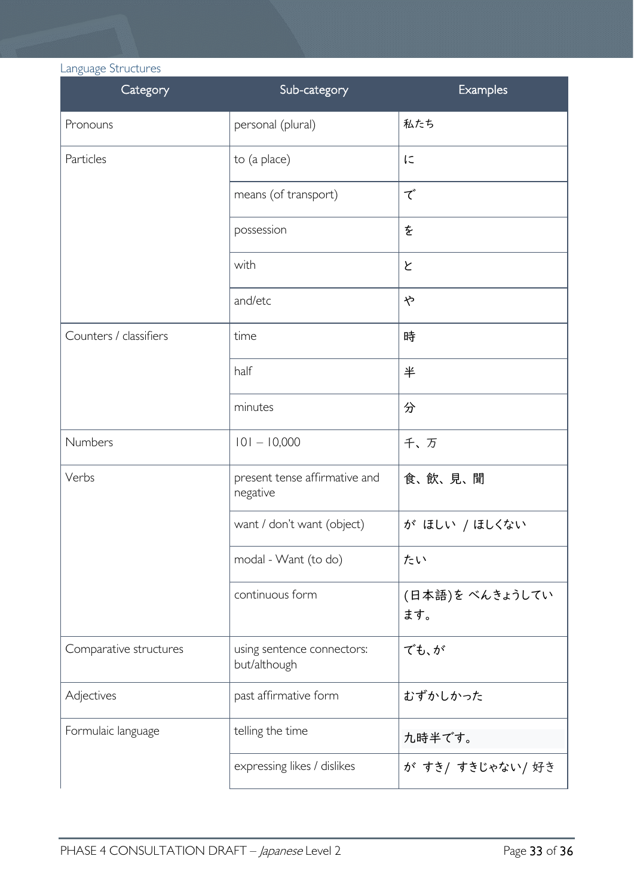<span id="page-32-0"></span>Language Structures

| Category               | Sub-category                               | Examples               |
|------------------------|--------------------------------------------|------------------------|
| Pronouns               | personal (plural)                          | 私たち                    |
| Particles              | to (a place)                               | に                      |
|                        | means (of transport)                       | で                      |
|                        | possession                                 | を                      |
|                        | with                                       | と                      |
|                        | and/etc                                    | や                      |
| Counters / classifiers | time                                       | 時                      |
|                        | half                                       | 半                      |
|                        | minutes                                    | 分                      |
| Numbers                | $101 - 10,000$                             | 千、万                    |
| Verbs                  | present tense affirmative and<br>negative  | 食、飲、見、聞                |
|                        | want / don't want (object)                 | が ほしい /ほしくない           |
|                        | modal - Want (to do)                       | たい                     |
|                        | continuous form                            | (日本語)を べんきょうしてい<br>ます。 |
| Comparative structures | using sentence connectors:<br>but/although | でも、が                   |
| Adjectives             | past affirmative form                      | むずかしかった                |
| Formulaic language     | telling the time                           | 九時半です。                 |
|                        | expressing likes / dislikes                | が すき/ すきじゃない/ 好き       |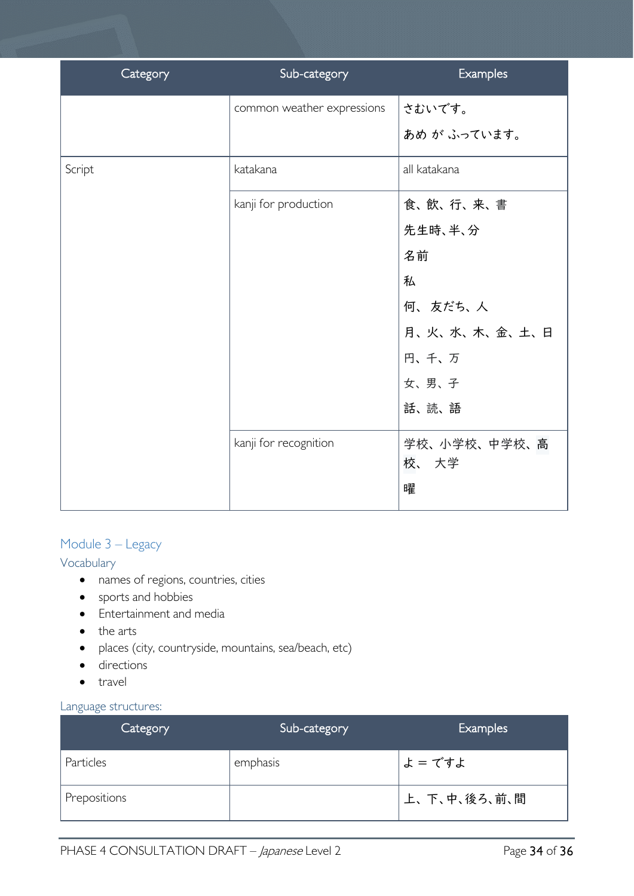| Category | Sub-category               | Examples      |
|----------|----------------------------|---------------|
|          | common weather expressions | さむいです。        |
|          |                            | あめ が ふっています。  |
| Script   | katakana                   | all katakana  |
|          | kanji for production       | 食、飲、行、来、書     |
|          |                            | 先生時、半、分       |
|          |                            | 名前            |
|          |                            | 私             |
|          |                            | 何、友だち、人       |
|          |                            | 月、火、水、木、金、土、日 |
|          |                            | 円、千、万         |
|          |                            | 女、男、子         |
|          |                            | 話、読、語         |
|          | kanji for recognition      | 学校、小学校、中学校、高  |
|          |                            | 校、 大学         |
|          |                            | 曜             |

## <span id="page-33-0"></span>Module 3 – Legacy

### <span id="page-33-1"></span>Vocabulary

- names of regions, countries, cities
- sports and hobbies
- Entertainment and media
- the arts
- places (city, countryside, mountains, sea/beach, etc)
- directions
- travel

## <span id="page-33-2"></span>Language structures:

| Category     | Sub-category | <b>Examples</b> |
|--------------|--------------|-----------------|
| Particles    | emphasis     | よ=ですよ           |
| Prepositions |              | 上、下、中、後ろ、前、間    |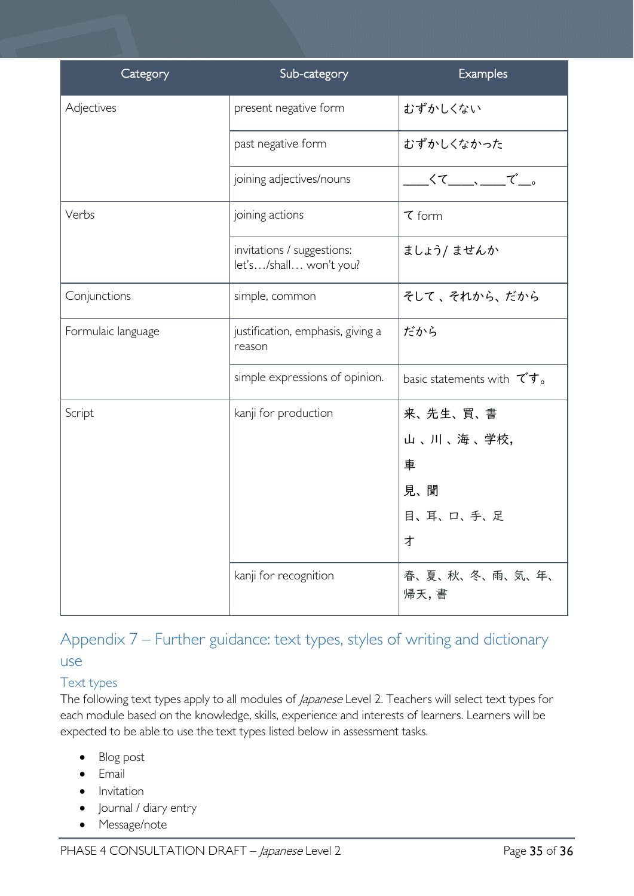| Category           | Sub-category                                         | Examples                             |
|--------------------|------------------------------------------------------|--------------------------------------|
| Adjectives         | present negative form                                | むずかしくない                              |
|                    | past negative form                                   | むずかしくなかった                            |
|                    | joining adjectives/nouns                             | ________________で___。                |
| Verbs              | joining actions                                      | $\tau$ form                          |
|                    | invitations / suggestions:<br>let's/shall won't you? | ましょう/ ませんか                           |
| Conjunctions       | simple, common                                       | そして、それから、だから                         |
| Formulaic language | justification, emphasis, giving a<br>reason          | だから                                  |
|                    | simple expressions of opinion.                       | basic statements with $\vec{\tau}$ , |
| Script             | kanji for production                                 | 来、先生、買、書                             |
|                    |                                                      | 山、川、海、学校,                            |
|                    |                                                      | 車                                    |
|                    |                                                      | 見、聞                                  |
|                    |                                                      | 目、耳、口、手、足                            |
|                    |                                                      | 才                                    |
|                    | kanji for recognition                                | 春、夏、秋、冬、雨、気、年、<br>帰天, 書              |

# <span id="page-34-0"></span>Appendix 7 – Further guidance: text types, styles of writing and dictionary use

## <span id="page-34-1"></span>Text types

The following text types apply to all modules of *Japanese* Level 2. Teachers will select text types for each module based on the knowledge, skills, experience and interests of learners. Learners will be expected to be able to use the text types listed below in assessment tasks.

- Blog post
- Email
- Invitation
- **Journal / diary entry**
- Message/note